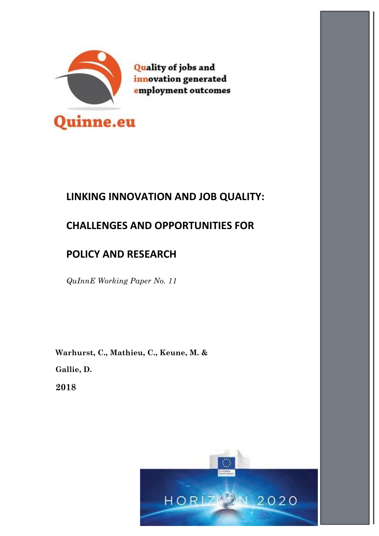

**Quality of jobs and** innovation generated employment outcomes

# **LINKING INNOVATION AND JOB QUALITY:**

# **CHALLENGES AND OPPORTUNITIES FOR**

# **POLICY AND RESEARCH**

*QuInnE Working Paper No. 11*

**Warhurst, C., Mathieu, C., Keune, M. &**

**Gallie, D.**

**2018**

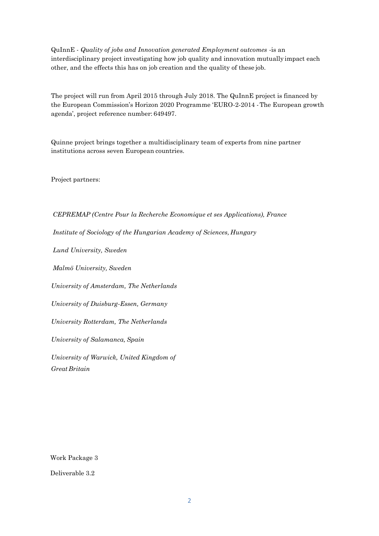QuInnE - *Quality of jobs and Innovation generated Employment outcomes* -is an interdisciplinary project investigating how job quality and innovation mutually impact each other, and the effects this has on job creation and the quality of these job.

The project will run from April 2015 through July 2018. The QuInnE project is financed by the European Commission's Horizon 2020 Programme 'EURO-2-2014 -The European growth agenda', project reference number: 649497.

Quinne project brings together a multidisciplinary team of experts from nine partner institutions across seven European countries.

Project partners:

*CEPREMAP (Centre Pour la Recherche Economique et ses Applications), France* 

*Institute of Sociology of the Hungarian Academy of Sciences, Hungary*

*Lund University, Sweden* 

*Malmö University, Sweden*

*University of Amsterdam, The Netherlands* 

*University of Duisburg-Essen, Germany* 

*University Rotterdam, The Netherlands* 

*University of Salamanca, Spain*

*University of Warwick, United Kingdom of Great Britain*

Work Package 3

Deliverable 3.2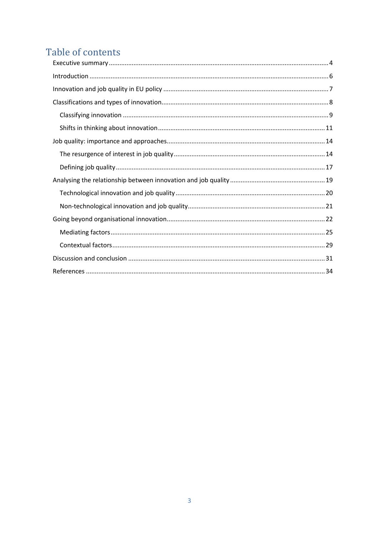# Table of contents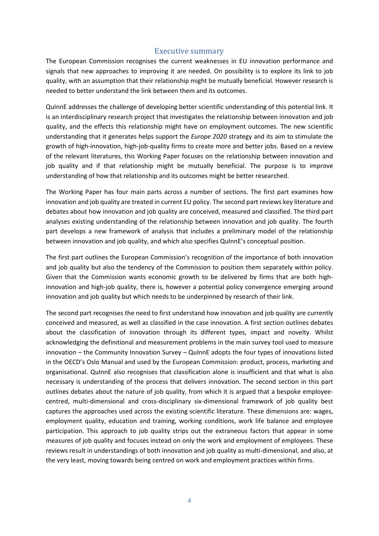## Executive summary

<span id="page-3-0"></span>The European Commission recognises the current weaknesses in EU innovation performance and signals that new approaches to improving it are needed. On possibility is to explore its link to job quality, with an assumption that their relationship might be mutually beneficial. However research is needed to better understand the link between them and its outcomes.

QuInnE addresses the challenge of developing better scientific understanding of this potential link. It is an interdisciplinary research project that investigates the relationship between innovation and job quality, and the effects this relationship might have on employment outcomes. The new scientific understanding that it generates helps support the *Europe 2020* strategy and its aim to stimulate the growth of high-innovation, high-job-quality firms to create more and better jobs. Based on a review of the relevant literatures, this Working Paper focuses on the relationship between innovation and job quality and if that relationship might be mutually beneficial. The purpose is to improve understanding of how that relationship and its outcomes might be better researched.

The Working Paper has four main parts across a number of sections. The first part examines how innovation and job quality are treated in current EU policy. The second part reviews key literature and debates about how innovation and job quality are conceived, measured and classified. The third part analyses existing understanding of the relationship between innovation and job quality. The fourth part develops a new framework of analysis that includes a preliminary model of the relationship between innovation and job quality, and which also specifies QuInnE's conceptual position.

The first part outlines the European Commission's recognition of the importance of both innovation and job quality but also the tendency of the Commission to position them separately within policy. Given that the Commission wants economic growth to be delivered by firms that are both highinnovation and high-job quality, there is, however a potential policy convergence emerging around innovation and job quality but which needs to be underpinned by research of their link.

The second part recognises the need to first understand how innovation and job quality are currently conceived and measured, as well as classified in the case innovation. A first section outlines debates about the classification of innovation through its different types, impact and novelty. Whilst acknowledging the definitional and measurement problems in the main survey tool used to measure innovation – the Community Innovation Survey – QuInnE adopts the four types of innovations listed in the OECD's Oslo Manual and used by the European Commission: product, process, marketing and organisational. QuInnE also recognises that classification alone is insufficient and that what is also necessary is understanding of the process that delivers innovation. The second section in this part outlines debates about the nature of job quality, from which it is argued that a bespoke employeecentred, multi-dimensional and cross-disciplinary six-dimensional framework of job quality best captures the approaches used across the existing scientific literature. These dimensions are: wages, employment quality, education and training, working conditions, work life balance and employee participation. This approach to job quality strips out the extraneous factors that appear in some measures of job quality and focuses instead on only the work and employment of employees. These reviews result in understandings of both innovation and job quality as multi-dimensional, and also, at the very least, moving towards being centred on work and employment practices within firms.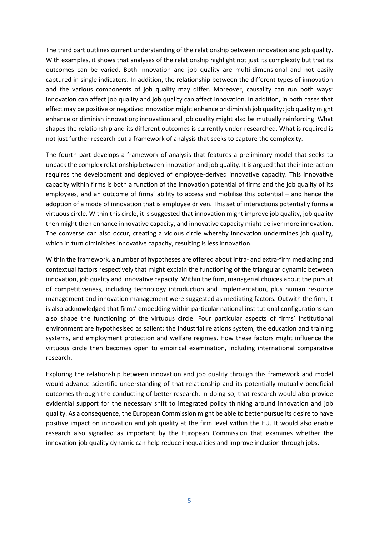The third part outlines current understanding of the relationship between innovation and job quality. With examples, it shows that analyses of the relationship highlight not just its complexity but that its outcomes can be varied. Both innovation and job quality are multi-dimensional and not easily captured in single indicators. In addition, the relationship between the different types of innovation and the various components of job quality may differ. Moreover, causality can run both ways: innovation can affect job quality and job quality can affect innovation. In addition, in both cases that effect may be positive or negative: innovation might enhance or diminish job quality; job quality might enhance or diminish innovation; innovation and job quality might also be mutually reinforcing. What shapes the relationship and its different outcomes is currently under-researched. What is required is not just further research but a framework of analysis that seeks to capture the complexity.

The fourth part develops a framework of analysis that features a preliminary model that seeks to unpack the complex relationship between innovation and job quality. It is argued that their interaction requires the development and deployed of employee-derived innovative capacity. This innovative capacity within firms is both a function of the innovation potential of firms and the job quality of its employees, and an outcome of firms' ability to access and mobilise this potential – and hence the adoption of a mode of innovation that is employee driven. This set of interactions potentially forms a virtuous circle. Within this circle, it is suggested that innovation might improve job quality, job quality then might then enhance innovative capacity, and innovative capacity might deliver more innovation. The converse can also occur, creating a vicious circle whereby innovation undermines job quality, which in turn diminishes innovative capacity, resulting is less innovation.

Within the framework, a number of hypotheses are offered about intra- and extra-firm mediating and contextual factors respectively that might explain the functioning of the triangular dynamic between innovation, job quality and innovative capacity. Within the firm, managerial choices about the pursuit of competitiveness, including technology introduction and implementation, plus human resource management and innovation management were suggested as mediating factors. Outwith the firm, it is also acknowledged that firms' embedding within particular national institutional configurations can also shape the functioning of the virtuous circle. Four particular aspects of firms' institutional environment are hypothesised as salient: the industrial relations system, the education and training systems, and employment protection and welfare regimes. How these factors might influence the virtuous circle then becomes open to empirical examination, including international comparative research.

Exploring the relationship between innovation and job quality through this framework and model would advance scientific understanding of that relationship and its potentially mutually beneficial outcomes through the conducting of better research. In doing so, that research would also provide evidential support for the necessary shift to integrated policy thinking around innovation and job quality. As a consequence, the European Commission might be able to better pursue its desire to have positive impact on innovation and job quality at the firm level within the EU. It would also enable research also signalled as important by the European Commission that examines whether the innovation-job quality dynamic can help reduce inequalities and improve inclusion through jobs.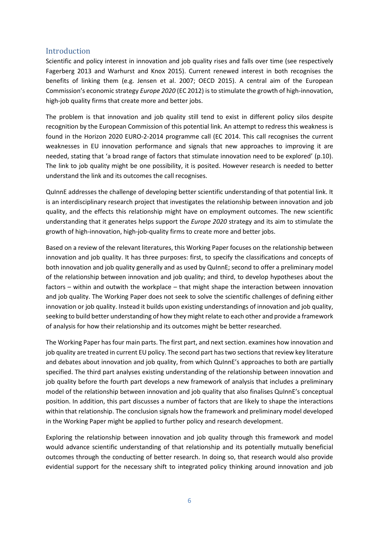# <span id="page-5-0"></span>Introduction

Scientific and policy interest in innovation and job quality rises and falls over time (see respectively Fagerberg 2013 and Warhurst and Knox 2015). Current renewed interest in both recognises the benefits of linking them (e.g. Jensen et al. 2007; OECD 2015). A central aim of the European Commission's economic strategy *Europe 2020* (EC 2012) is to stimulate the growth of high-innovation, high-job quality firms that create more and better jobs.

The problem is that innovation and job quality still tend to exist in different policy silos despite recognition by the European Commission of this potential link. An attempt to redress this weakness is found in the Horizon 2020 EURO-2-2014 programme call (EC 2014. This call recognises the current weaknesses in EU innovation performance and signals that new approaches to improving it are needed, stating that 'a broad range of factors that stimulate innovation need to be explored' (p.10). The link to job quality might be one possibility, it is posited. However research is needed to better understand the link and its outcomes the call recognises.

QuInnE addresses the challenge of developing better scientific understanding of that potential link. It is an interdisciplinary research project that investigates the relationship between innovation and job quality, and the effects this relationship might have on employment outcomes. The new scientific understanding that it generates helps support the *Europe 2020* strategy and its aim to stimulate the growth of high-innovation, high-job-quality firms to create more and better jobs.

Based on a review of the relevant literatures, this Working Paper focuses on the relationship between innovation and job quality. It has three purposes: first, to specify the classifications and concepts of both innovation and job quality generally and as used by QuInnE; second to offer a preliminary model of the relationship between innovation and job quality; and third, to develop hypotheses about the factors – within and outwith the workplace – that might shape the interaction between innovation and job quality. The Working Paper does not seek to solve the scientific challenges of defining either innovation or job quality. Instead it builds upon existing understandings of innovation and job quality, seeking to build better understanding of how they might relate to each other and provide a framework of analysis for how their relationship and its outcomes might be better researched.

The Working Paper has four main parts. The first part, and next section. examines how innovation and job quality are treated in current EU policy. The second part has two sections that review key literature and debates about innovation and job quality, from which QuInnE's approaches to both are partially specified. The third part analyses existing understanding of the relationship between innovation and job quality before the fourth part develops a new framework of analysis that includes a preliminary model of the relationship between innovation and job quality that also finalises QuInnE's conceptual position. In addition, this part discusses a number of factors that are likely to shape the interactions within that relationship. The conclusion signals how the framework and preliminary model developed in the Working Paper might be applied to further policy and research development.

Exploring the relationship between innovation and job quality through this framework and model would advance scientific understanding of that relationship and its potentially mutually beneficial outcomes through the conducting of better research. In doing so, that research would also provide evidential support for the necessary shift to integrated policy thinking around innovation and job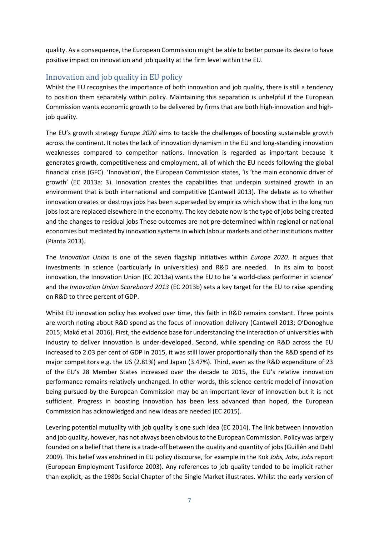quality. As a consequence, the European Commission might be able to better pursue its desire to have positive impact on innovation and job quality at the firm level within the EU.

# <span id="page-6-0"></span>Innovation and job quality in EU policy

Whilst the EU recognises the importance of both innovation and job quality, there is still a tendency to position them separately within policy. Maintaining this separation is unhelpful if the European Commission wants economic growth to be delivered by firms that are both high-innovation and highjob quality.

The EU's growth strategy *Europe 2020* aims to tackle the challenges of boosting sustainable growth across the continent. It notes the lack of innovation dynamism in the EU and long-standing innovation weaknesses compared to competitor nations. Innovation is regarded as important because it generates growth, competitiveness and employment, all of which the EU needs following the global financial crisis (GFC). 'Innovation', the European Commission states, 'is 'the main economic driver of growth' (EC 2013a: 3). Innovation creates the capabilities that underpin sustained growth in an environment that is both international and competitive (Cantwell 2013). The debate as to whether innovation creates or destroys jobs has been superseded by empirics which show that in the long run jobs lost are replaced elsewhere in the economy. The key debate now is the type of jobs being created and the changes to residual jobs These outcomes are not pre-determined within regional or national economies but mediated by innovation systems in which labour markets and other institutions matter (Pianta 2013).

The *Innovation Union* is one of the seven flagship initiatives within *Europe 2020*. It argues that investments in science (particularly in universities) and R&D are needed. In its aim to boost innovation, the Innovation Union (EC 2013a) wants the EU to be 'a world-class performer in science' and the *Innovation Union Scoreboard 2013* (EC 2013b) sets a key target for the EU to raise spending on R&D to three percent of GDP.

Whilst EU innovation policy has evolved over time, this faith in R&D remains constant. Three points are worth noting about R&D spend as the focus of innovation delivery (Cantwell 2013; O'Donoghue 2015; Makó et al. 2016). First, the evidence base for understanding the interaction of universities with industry to deliver innovation is under-developed. Second, while spending on R&D across the EU increased to 2.03 per cent of GDP in 2015, it was still lower proportionally than the R&D spend of its major competitors e.g. the US (2.81%) and Japan (3.47%). Third, even as the R&D expenditure of 23 of the EU's 28 Member States increased over the decade to 2015, the EU's relative innovation performance remains relatively unchanged. In other words, this science-centric model of innovation being pursued by the European Commission may be an important lever of innovation but it is not sufficient. Progress in boosting innovation has been less advanced than hoped, the European Commission has acknowledged and new ideas are needed (EC 2015).

Levering potential mutuality with job quality is one such idea (EC 2014). The link between innovation and job quality, however, has not always been obvious to the European Commission. Policy was largely founded on a belief that there is a trade-off between the quality and quantity of jobs (Guillén and Dahl 2009). This belief was enshrined in EU policy discourse, for example in the Kok *Jobs, Jobs, Jobs* report (European Employment Taskforce 2003). Any references to job quality tended to be implicit rather than explicit, as the 1980s Social Chapter of the Single Market illustrates. Whilst the early version of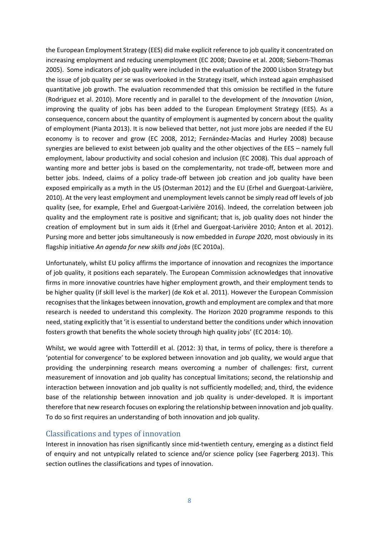the European Employment Strategy (EES) did make explicit reference to job quality it concentrated on increasing employment and reducing unemployment (EC 2008; Davoine et al. 2008; Sieborn-Thomas 2005). Some indicators of job quality were included in the evaluation of the 2000 Lisbon Strategy but the issue of job quality per se was overlooked in the Strategy itself, which instead again emphasised quantitative job growth. The evaluation recommended that this omission be rectified in the future (Rodriguez et al. 2010). More recently and in parallel to the development of the *Innovation Union*, improving the quality of jobs has been added to the European Employment Strategy (EES). As a consequence, concern about the quantity of employment is augmented by concern about the quality of employment (Pianta 2013). It is now believed that better, not just more jobs are needed if the EU economy is to recover and grow (EC 2008, 2012; Fernández-Macías and Hurley 2008) because synergies are believed to exist between job quality and the other objectives of the EES – namely full employment, labour productivity and social cohesion and inclusion (EC 2008). This dual approach of wanting more and better jobs is based on the complementarity, not trade-off, between more and better jobs. Indeed, claims of a policy trade-off between job creation and job quality have been exposed empirically as a myth in the US (Osterman 2012) and the EU (Erhel and Guergoat-Larivière, 2010). At the very least employment and unemployment levels cannot be simply read off levels of job quality (see, for example, Erhel and Guergoat-Larivière 2016). Indeed, the correlation between job quality and the employment rate is positive and significant; that is, job quality does not hinder the creation of employment but in sum aids it (Erhel and Guergoat-Larivière 2010; Anton et al. 2012). Pursing more and better jobs simultaneously is now embedded in *Europe 2020*, most obviously in its flagship initiative *An agenda for new skills and jobs* (EC 2010a).

Unfortunately, whilst EU policy affirms the importance of innovation and recognizes the importance of job quality, it positions each separately. The European Commission acknowledges that innovative firms in more innovative countries have higher employment growth, and their employment tends to be higher quality (if skill level is the marker) (de Kok et al. 2011). However the European Commission recognises that the linkages between innovation, growth and employment are complex and that more research is needed to understand this complexity. The Horizon 2020 programme responds to this need, stating explicitly that 'it is essential to understand better the conditions under which innovation fosters growth that benefits the whole society through high quality jobs' (EC 2014: 10).

Whilst, we would agree with Totterdill et al. (2012: 3) that, in terms of policy, there is therefore a 'potential for convergence' to be explored between innovation and job quality, we would argue that providing the underpinning research means overcoming a number of challenges: first, current measurement of innovation and job quality has conceptual limitations; second, the relationship and interaction between innovation and job quality is not sufficiently modelled; and, third, the evidence base of the relationship between innovation and job quality is under-developed. It is important therefore that new research focuses on exploring the relationship between innovation and job quality. To do so first requires an understanding of both innovation and job quality.

# <span id="page-7-0"></span>Classifications and types of innovation

Interest in innovation has risen significantly since mid-twentieth century, emerging as a distinct field of enquiry and not untypically related to science and/or science policy (see Fagerberg 2013). This section outlines the classifications and types of innovation.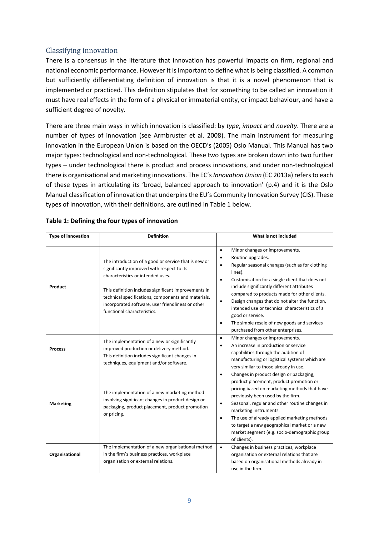# <span id="page-8-0"></span>Classifying innovation

There is a consensus in the literature that innovation has powerful impacts on firm, regional and national economic performance. However it is important to define what is being classified. A common but sufficiently differentiating definition of innovation is that it is a novel phenomenon that is implemented or practiced. This definition stipulates that for something to be called an innovation it must have real effects in the form of a physical or immaterial entity, or impact behaviour, and have a sufficient degree of novelty.

There are three main ways in which innovation is classified: by *type*, *impact* and *novelty*. There are a number of types of innovation (see Armbruster et al. 2008). The main instrument for measuring innovation in the European Union is based on the OECD's (2005) Oslo Manual. This Manual has two major types: technological and non-technological. These two types are broken down into two further types – under technological there is product and process innovations, and under non-technological there is organisational and marketing innovations. The EC's *Innovation Union* (EC 2013a) refers to each of these types in articulating its 'broad, balanced approach to innovation' (p.4) and it is the Oslo Manual classification of innovation that underpins the EU's Community Innovation Survey (CIS). These types of innovation, with their definitions, are outlined in Table 1 below.

| <b>Type of innovation</b> | <b>Definition</b>                                                                                                                                                                                                                                                                                                                          | What is not included                                                                                                                                                                                                                                                                                                                                                                                                                                                                                                                                        |
|---------------------------|--------------------------------------------------------------------------------------------------------------------------------------------------------------------------------------------------------------------------------------------------------------------------------------------------------------------------------------------|-------------------------------------------------------------------------------------------------------------------------------------------------------------------------------------------------------------------------------------------------------------------------------------------------------------------------------------------------------------------------------------------------------------------------------------------------------------------------------------------------------------------------------------------------------------|
| Product                   | The introduction of a good or service that is new or<br>significantly improved with respect to its<br>characteristics or intended uses.<br>This definition includes significant improvements in<br>technical specifications, components and materials,<br>incorporated software, user friendliness or other<br>functional characteristics. | Minor changes or improvements.<br>$\bullet$<br>Routine upgrades.<br>$\bullet$<br>Regular seasonal changes (such as for clothing<br>$\bullet$<br>lines).<br>Customisation for a single client that does not<br>$\bullet$<br>include significantly different attributes<br>compared to products made for other clients.<br>Design changes that do not alter the function,<br>$\bullet$<br>intended use or technical characteristics of a<br>good or service.<br>The simple resale of new goods and services<br>$\bullet$<br>purchased from other enterprises. |
| <b>Process</b>            | The implementation of a new or significantly<br>improved production or delivery method.<br>This definition includes significant changes in<br>techniques, equipment and/or software.                                                                                                                                                       | Minor changes or improvements.<br>$\bullet$<br>An increase in production or service<br>$\bullet$<br>capabilities through the addition of<br>manufacturing or logistical systems which are<br>very similar to those already in use.                                                                                                                                                                                                                                                                                                                          |
| <b>Marketing</b>          | The implementation of a new marketing method<br>involving significant changes in product design or<br>packaging, product placement, product promotion<br>or pricing.                                                                                                                                                                       | Changes in product design or packaging,<br>$\bullet$<br>product placement, product promotion or<br>pricing based on marketing methods that have<br>previously been used by the firm.<br>Seasonal, regular and other routine changes in<br>$\bullet$<br>marketing instruments.<br>The use of already applied marketing methods<br>$\bullet$<br>to target a new geographical market or a new<br>market segment (e.g. socio-demographic group<br>of clients).                                                                                                  |
| Organisational            | The implementation of a new organisational method<br>in the firm's business practices, workplace<br>organisation or external relations.                                                                                                                                                                                                    | Changes in business practices, workplace<br>$\bullet$<br>organisation or external relations that are<br>based on organisational methods already in<br>use in the firm.                                                                                                                                                                                                                                                                                                                                                                                      |

#### **Table 1: Defining the four types of innovation**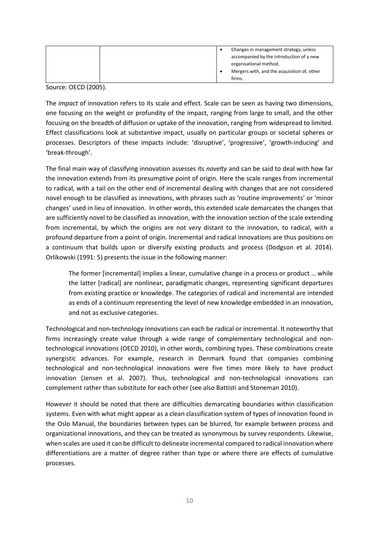|  | Changes in management strategy, unless<br>accompanied by the introduction of a new<br>organisational method. |
|--|--------------------------------------------------------------------------------------------------------------|
|  | Mergers with, and the acquisition of, other<br>firms.                                                        |

Source: OECD (2005).

The *impact* of innovation refers to its scale and effect. Scale can be seen as having two dimensions, one focusing on the weight or profundity of the impact, ranging from large to small, and the other focusing on the breadth of diffusion or uptake of the innovation, ranging from widespread to limited. Effect classifications look at substantive impact, usually on particular groups or societal spheres or processes. Descriptors of these impacts include: 'disruptive', 'progressive', 'growth-inducing' and 'break-through'.

The final main way of classifying innovation assesses its *novelty* and can be said to deal with how far the innovation extends from its presumptive point of origin. Here the scale ranges from incremental to radical, with a tail on the other end of incremental dealing with changes that are not considered novel enough to be classified as innovations, with phrases such as 'routine improvements' or 'minor changes' used in lieu of innovation. In other words, this extended scale demarcates the changes that are sufficiently novel to be classified as innovation, with the innovation section of the scale extending from incremental, by which the origins are not very distant to the innovation, to radical, with a profound departure from a point of origin. Incremental and radical innovations are thus positions on a continuum that builds upon or diversify existing products and process (Dodgson et al. 2014). Orlikowski (1991: 5) presents the issue in the following manner:

The former [incremental] implies a linear, cumulative change in a process or product … while the latter [radical] are nonlinear, paradigmatic changes, representing significant departures from existing practice or knowledge. The categories of radical and incremental are intended as ends of a continuum representing the level of new knowledge embedded in an innovation, and not as exclusive categories.

Technological and non-technology innovations can each be radical or incremental. It noteworthy that firms increasingly create value through a wide range of complementary technological and nontechnological innovations (OECD 2010), in other words, combining types. These combinations create synergistic advances. For example, research in Denmark found that companies combining technological and non-technological innovations were five times more likely to have product innovation (Jensen et al. 2007). Thus, technological and non-technological innovations can complement rather than substitute for each other (see also Battisti and Stoneman 2010).

However it should be noted that there are difficulties demarcating boundaries within classification systems. Even with what might appear as a clean classification system of types of innovation found in the Oslo Manual, the boundaries between types can be blurred, for example between process and organizational innovations, and they can be treated as synonymous by survey respondents. Likewise, when scales are used it can be difficult to delineate incremental compared to radical innovation where differentiations are a matter of degree rather than type or where there are effects of cumulative processes.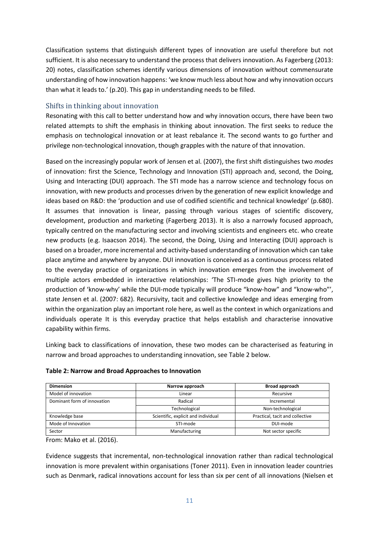Classification systems that distinguish different types of innovation are useful therefore but not sufficient. It is also necessary to understand the process that delivers innovation. As Fagerberg (2013: 20) notes, classification schemes identify various dimensions of innovation without commensurate understanding of how innovation happens: 'we know much less about how and why innovation occurs than what it leads to.' (p.20). This gap in understanding needs to be filled.

## <span id="page-10-0"></span>Shifts in thinking about innovation

Resonating with this call to better understand how and why innovation occurs, there have been two related attempts to shift the emphasis in thinking about innovation. The first seeks to reduce the emphasis on technological innovation or at least rebalance it. The second wants to go further and privilege non-technological innovation, though grapples with the nature of that innovation.

Based on the increasingly popular work of Jensen et al. (2007), the first shift distinguishes two *modes* of innovation: first the Science, Technology and Innovation (STI) approach and, second, the Doing, Using and Interacting (DUI) approach. The STI mode has a narrow science and technology focus on innovation, with new products and processes driven by the generation of new explicit knowledge and ideas based on R&D: the 'production and use of codified scientific and technical knowledge' (p.680). It assumes that innovation is linear, passing through various stages of scientific discovery, development, production and marketing (Fagerberg 2013). It is also a narrowly focused approach, typically centred on the manufacturing sector and involving scientists and engineers etc. who create new products (e.g. Isaacson 2014). The second, the Doing, Using and Interacting (DUI) approach is based on a broader, more incremental and activity-based understanding of innovation which can take place anytime and anywhere by anyone. DUI innovation is conceived as a continuous process related to the everyday practice of organizations in which innovation emerges from the involvement of multiple actors embedded in interactive relationships: 'The STI-mode gives high priority to the production of 'know-why' while the DUI-mode typically will produce "know-how" and "know-who"', state Jensen et al. (2007: 682). Recursivity, tacit and collective knowledge and ideas emerging from within the organization play an important role here, as well as the context in which organizations and individuals operate It is this everyday practice that helps establish and characterise innovative capability within firms.

Linking back to classifications of innovation, these two modes can be characterised as featuring in narrow and broad approaches to understanding innovation, see Table 2 below.

| <b>Dimension</b>            | Narrow approach                     | <b>Broad approach</b>           |  |  |
|-----------------------------|-------------------------------------|---------------------------------|--|--|
| Model of innovation         | Recursive<br>Linear                 |                                 |  |  |
| Dominant form of innovation | Radical                             | Incremental                     |  |  |
|                             | Technological                       | Non-technological               |  |  |
| Knowledge base              | Scientific, explicit and individual | Practical, tacit and collective |  |  |
| Mode of Innovation          | STI-mode                            | DUI-mode                        |  |  |
| Sector                      | Manufacturing                       | Not sector specific             |  |  |

#### **Table 2: Narrow and Broad Approaches to Innovation**

From: Mako et al. (2016).

Evidence suggests that incremental, non-technological innovation rather than radical technological innovation is more prevalent within organisations (Toner 2011). Even in innovation leader countries such as Denmark, radical innovations account for less than six per cent of all innovations (Nielsen et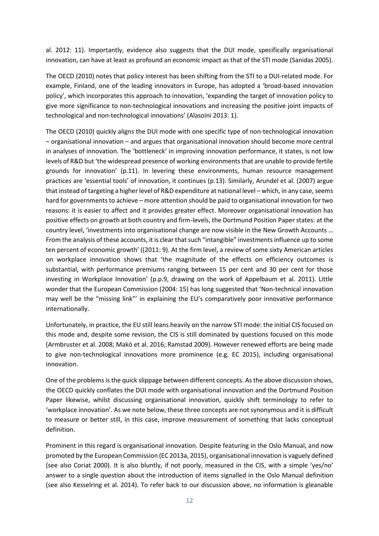al. 2012: 11). Importantly, evidence also suggests that the DUI mode, specifically organisational innovation, can have at least as profound an economic impact as that of the STI mode (Sanidas 2005).

The OECD (2010) notes that policy interest has been shifting from the STI to a DUI-related mode. For example, Finland, one of the leading innovators in Europe, has adopted a 'broad-based innovation policy', which incorporates this approach to innovation, 'expanding the target of innovation policy to give more significance to non-technological innovations and increasing the positive joint impacts of technological and non-technological innovations' (Alasoini 2013: 1).

The OECD (2010) quickly aligns the DUI mode with one specific type of non-technological innovation – organisational innovation – and argues that organisational innovation should become more central in analyses of innovation. The 'bottleneck' in improving innovation performance, it states, is not low levels of R&D but 'the widespread presence of working environments that are unable to provide fertile grounds for innovation' (p.11). In levering these environments, human resource management practices are 'essential tools' of innovation, it continues (p.13). Similarly, Arundel et al. (2007) argue that instead of targeting a higher level of R&D expenditure at national level – which, in any case, seems hard for governments to achieve – more attention should be paid to organisational innovation for two reasons: it is easier to affect and it provides greater effect. Moreover organisational innovation has positive effects on growth at both country and firm-levels, the Dortmund Position Paper states: at the country level, 'investments into organisational change are now visible in the New Growth Accounts … From the analysis of these accounts, it is clear that such "intangible" investments influence up to some ten percent of economic growth' ((2011: 9). At the firm level, a review of some sixty American articles on workplace innovation shows that 'the magnitude of the effects on efficiency outcomes is substantial, with performance premiums ranging between 15 per cent and 30 per cent for those investing in Workplace Innovation' (p.p.9, drawing on the work of Appelbaum et al. 2011). Little wonder that the European Commission (2004: 15) has long suggested that 'Non-technical innovation may well be the "missing link"' in explaining the EU's comparatively poor innovative performance internationally.

Unfortunately, in practice, the EU still leans heavily on the narrow STI mode: the initial CIS focused on this mode and, despite some revision, the CIS is still dominated by questions focused on this mode (Armbruster et al. 2008; Makó et al. 2016; Ramstad 2009). However renewed efforts are being made to give non-technological innovations more prominence (e.g. EC 2015), including organisational innovation.

One of the problems is the quick slippage between different concepts. As the above discussion shows, the OECD quickly conflates the DUI mode with organisational innovation and the Dortmund Position Paper likewise, whilst discussing organisational innovation, quickly shift terminology to refer to 'workplace innovation'. As we note below, these three concepts are not synonymous and it is difficult to measure or better still, in this case, improve measurement of something that lacks conceptual definition.

Prominent in this regard is organisational innovation. Despite featuring in the Oslo Manual, and now promoted by the European Commission (EC 2013a, 2015), organisational innovation is vaguely defined (see also Coriat 2000). It is also bluntly, if not poorly, measured in the CIS, with a simple 'yes/no' answer to a single question about the introduction of items signalled in the Oslo Manual definition (see also Kesselring et al. 2014). To refer back to our discussion above, no information is gleanable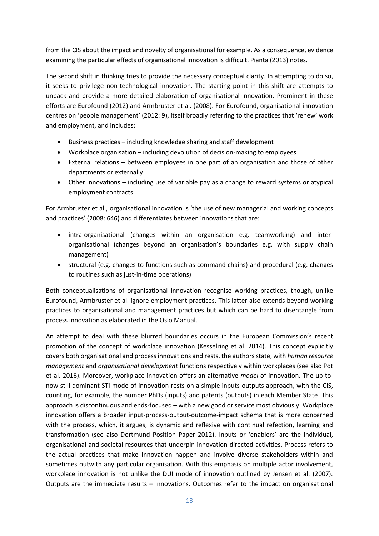from the CIS about the impact and novelty of organisational for example. As a consequence, evidence examining the particular effects of organisational innovation is difficult, Pianta (2013) notes.

The second shift in thinking tries to provide the necessary conceptual clarity. In attempting to do so, it seeks to privilege non-technological innovation. The starting point in this shift are attempts to unpack and provide a more detailed elaboration of organisational innovation. Prominent in these efforts are Eurofound (2012) and Armbruster et al. (2008). For Eurofound, organisational innovation centres on 'people management' (2012: 9), itself broadly referring to the practices that 'renew' work and employment, and includes:

- Business practices including knowledge sharing and staff development
- Workplace organisation including devolution of decision-making to employees
- External relations between employees in one part of an organisation and those of other departments or externally
- Other innovations including use of variable pay as a change to reward systems or atypical employment contracts

For Armbruster et al., organisational innovation is 'the use of new managerial and working concepts and practices' (2008: 646) and differentiates between innovations that are:

- intra-organisational (changes within an organisation e.g. teamworking) and interorganisational (changes beyond an organisation's boundaries e.g. with supply chain management)
- structural (e.g. changes to functions such as command chains) and procedural (e.g. changes to routines such as just-in-time operations)

Both conceptualisations of organisational innovation recognise working practices, though, unlike Eurofound, Armbruster et al. ignore employment practices. This latter also extends beyond working practices to organisational and management practices but which can be hard to disentangle from process innovation as elaborated in the Oslo Manual.

An attempt to deal with these blurred boundaries occurs in the European Commission's recent promotion of the concept of workplace innovation (Kesselring et al. 2014). This concept explicitly covers both organisational and process innovations and rests, the authors state, with *human resource management* and *organisational development* functions respectively within workplaces (see also Pot et al. 2016). Moreover, workplace innovation offers an alternative *model* of innovation. The up-tonow still dominant STI mode of innovation rests on a simple inputs-outputs approach, with the CIS, counting, for example, the number PhDs (inputs) and patents (outputs) in each Member State. This approach is discontinuous and ends-focused – with a new good or service most obviously. Workplace innovation offers a broader input-process-output-outcome-impact schema that is more concerned with the process, which, it argues, is dynamic and reflexive with continual refection, learning and transformation (see also Dortmund Position Paper 2012). Inputs or 'enablers' are the individual, organisational and societal resources that underpin innovation-directed activities. Process refers to the actual practices that make innovation happen and involve diverse stakeholders within and sometimes outwith any particular organisation. With this emphasis on multiple actor involvement, workplace innovation is not unlike the DUI mode of innovation outlined by Jensen et al. (2007). Outputs are the immediate results – innovations. Outcomes refer to the impact on organisational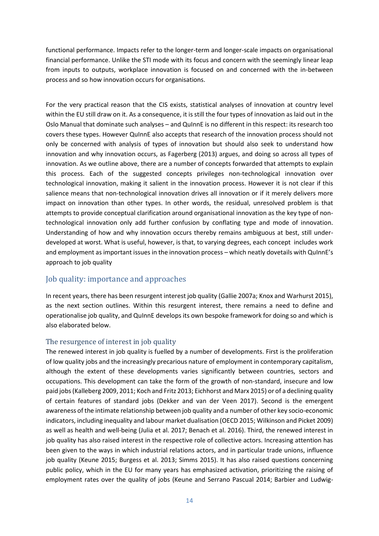functional performance. Impacts refer to the longer-term and longer-scale impacts on organisational financial performance. Unlike the STI mode with its focus and concern with the seemingly linear leap from inputs to outputs, workplace innovation is focused on and concerned with the in-between process and so how innovation occurs for organisations.

For the very practical reason that the CIS exists, statistical analyses of innovation at country level within the EU still draw on it. As a consequence, it is still the four types of innovation as laid out in the Oslo Manual that dominate such analyses – and QuInnE is no different in this respect: its research too covers these types. However QuInnE also accepts that research of the innovation process should not only be concerned with analysis of types of innovation but should also seek to understand how innovation and why innovation occurs, as Fagerberg (2013) argues, and doing so across all types of innovation. As we outline above, there are a number of concepts forwarded that attempts to explain this process. Each of the suggested concepts privileges non-technological innovation over technological innovation, making it salient in the innovation process. However it is not clear if this salience means that non-technological innovation drives all innovation or if it merely delivers more impact on innovation than other types. In other words, the residual, unresolved problem is that attempts to provide conceptual clarification around organisational innovation as the key type of nontechnological innovation only add further confusion by conflating type and mode of innovation. Understanding of how and why innovation occurs thereby remains ambiguous at best, still underdeveloped at worst. What is useful, however, is that, to varying degrees, each concept includes work and employment as important issues in the innovation process – which neatly dovetails with QuInnE's approach to job quality

# <span id="page-13-0"></span>Job quality: importance and approaches

In recent years, there has been resurgent interest job quality (Gallie 2007a; Knox and Warhurst 2015), as the next section outlines. Within this resurgent interest, there remains a need to define and operationalise job quality, and QuInnE develops its own bespoke framework for doing so and which is also elaborated below.

## <span id="page-13-1"></span>The resurgence of interest in job quality

The renewed interest in job quality is fuelled by a number of developments. First is the proliferation of low quality jobs and the increasingly precarious nature of employment in contemporary capitalism, although the extent of these developments varies significantly between countries, sectors and occupations. This development can take the form of the growth of non-standard, insecure and low paid jobs (Kalleberg 2009, 2011; Koch and Fritz 2013; Eichhorst and Marx 2015) or of a declining quality of certain features of standard jobs (Dekker and van der Veen 2017). Second is the emergent awareness of the intimate relationship between job quality and a number of other key socio-economic indicators, including inequality and labour market dualisation (OECD 2015; Wilkinson and Picket 2009) as well as health and well-being (Julia et al. 2017; Benach et al. 2016). Third, the renewed interest in job quality has also raised interest in the respective role of collective actors. Increasing attention has been given to the ways in which industrial relations actors, and in particular trade unions, influence job quality (Keune 2015; Burgess et al. 2013; Simms 2015). It has also raised questions concerning public policy, which in the EU for many years has emphasized activation, prioritizing the raising of employment rates over the quality of jobs (Keune and Serrano Pascual 2014; Barbier and Ludwig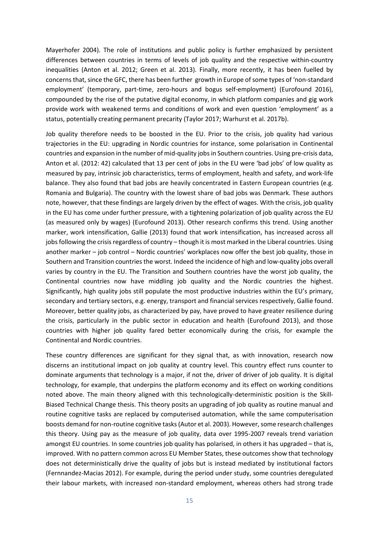Mayerhofer 2004). The role of institutions and public policy is further emphasized by persistent differences between countries in terms of levels of job quality and the respective within-country inequalities (Anton et al. 2012; Green et al. 2013). Finally, more recently, it has been fuelled by concerns that, since the GFC, there has been further growth in Europe of some types of 'non-standard employment' (temporary, part-time, zero-hours and bogus self-employment) (Eurofound 2016), compounded by the rise of the putative digital economy, in which platform companies and gig work provide work with weakened terms and conditions of work and even question 'employment' as a status, potentially creating permanent precarity (Taylor 2017; Warhurst et al. 2017b).

Job quality therefore needs to be boosted in the EU. Prior to the crisis, job quality had various trajectories in the EU: upgrading in Nordic countries for instance, some polarisation in Continental countries and expansion in the number of mid-quality jobs in Southern countries. Using pre-crisis data, Anton et al. (2012: 42) calculated that 13 per cent of jobs in the EU were 'bad jobs' of low quality as measured by pay, intrinsic job characteristics, terms of employment, health and safety, and work-life balance. They also found that bad jobs are heavily concentrated in Eastern European countries (e.g. Romania and Bulgaria). The country with the lowest share of bad jobs was Denmark. These authors note, however, that these findings are largely driven by the effect of wages. With the crisis, job quality in the EU has come under further pressure, with a tightening polarization of job quality across the EU (as measured only by wages) (Eurofound 2013). Other research confirms this trend. Using another marker, work intensification, Gallie (2013) found that work intensification, has increased across all jobs following the crisis regardless of country – though it is most marked in the Liberal countries. Using another marker – job control – Nordic countries' workplaces now offer the best job quality, those in Southern and Transition countries the worst. Indeed the incidence of high and low-quality jobs overall varies by country in the EU. The Transition and Southern countries have the worst job quality, the Continental countries now have middling job quality and the Nordic countries the highest. Significantly, high quality jobs still populate the most productive industries within the EU's primary, secondary and tertiary sectors, e.g. energy, transport and financial services respectively, Gallie found. Moreover, better quality jobs, as characterized by pay, have proved to have greater resilience during the crisis, particularly in the public sector in education and health (Eurofound 2013), and those countries with higher job quality fared better economically during the crisis, for example the Continental and Nordic countries.

These country differences are significant for they signal that, as with innovation, research now discerns an institutional impact on job quality at country level. This country effect runs counter to dominate arguments that technology is a major, if not the, driver of driver of job quality. It is digital technology, for example, that underpins the platform economy and its effect on working conditions noted above. The main theory aligned with this technologically-deterministic position is the Skill-Biased Technical Change thesis. This theory posits an upgrading of job quality as routine manual and routine cognitive tasks are replaced by computerised automation, while the same computerisation boosts demand for non-routine cognitive tasks (Autor et al. 2003). However, some research challenges this theory. Using pay as the measure of job quality, data over 1995-2007 reveals trend variation amongst EU countries. In some countries job quality has polarised, in others it has upgraded – that is, improved. With no pattern common across EU Member States, these outcomes show that technology does not deterministically drive the quality of jobs but is instead mediated by institutional factors (Fernnandez-Macias 2012). For example, during the period under study, some countries deregulated their labour markets, with increased non-standard employment, whereas others had strong trade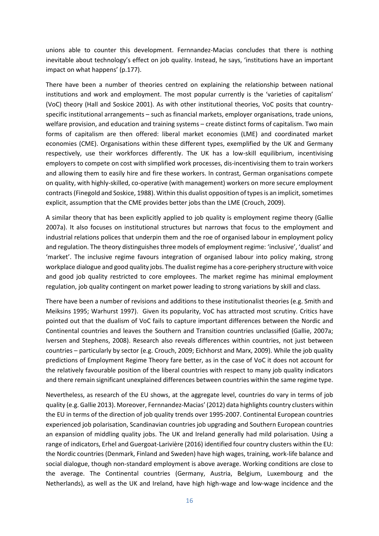unions able to counter this development. Fernnandez-Macias concludes that there is nothing inevitable about technology's effect on job quality. Instead, he says, 'institutions have an important impact on what happens' (p.177).

There have been a number of theories centred on explaining the relationship between national institutions and work and employment. The most popular currently is the 'varieties of capitalism' (VoC) theory (Hall and Soskice 2001). As with other institutional theories, VoC posits that countryspecific institutional arrangements – such as financial markets, employer organisations, trade unions, welfare provision, and education and training systems – create distinct forms of capitalism. Two main forms of capitalism are then offered: liberal market economies (LME) and coordinated market economies (CME). Organisations within these different types, exemplified by the UK and Germany respectively, use their workforces differently. The UK has a low-skill equilibrium, incentivising employers to compete on cost with simplified work processes, dis-incentivising them to train workers and allowing them to easily hire and fire these workers. In contrast, German organisations compete on quality, with highly-skilled, co-operative (with management) workers on more secure employment contracts (Finegold and Soskice, 1988). Within this dualist opposition of types is an implicit, sometimes explicit, assumption that the CME provides better jobs than the LME (Crouch, 2009).

A similar theory that has been explicitly applied to job quality is employment regime theory (Gallie 2007a). It also focuses on institutional structures but narrows that focus to the employment and industrial relations polices that underpin them and the roe of organised labour in employment policy and regulation. The theory distinguishes three models of employment regime: 'inclusive', 'dualist' and 'market'. The inclusive regime favours integration of organised labour into policy making, strong workplace dialogue and good quality jobs. The dualist regime has a core-periphery structure with voice and good job quality restricted to core employees. The market regime has minimal employment regulation, job quality contingent on market power leading to strong variations by skill and class.

There have been a number of revisions and additions to these institutionalist theories (e.g. Smith and Meiksins 1995; Warhurst 1997). Given its popularity, VoC has attracted most scrutiny. Critics have pointed out that the dualism of VoC fails to capture important differences between the Nordic and Continental countries and leaves the Southern and Transition countries unclassified (Gallie, 2007a; Iversen and Stephens, 2008). Research also reveals differences within countries, not just between countries – particularly by sector (e.g. Crouch, 2009; Eichhorst and Marx, 2009). While the job quality predictions of Employment Regime Theory fare better, as in the case of VoC it does not account for the relatively favourable position of the liberal countries with respect to many job quality indicators and there remain significant unexplained differences between countries within the same regime type.

Nevertheless, as research of the EU shows, at the aggregate level, countries do vary in terms of job quality (e.g. Gallie 2013). Moreover, Fernnandez-Macias' (2012) data highlights country clusters within the EU in terms of the direction of job quality trends over 1995-2007. Continental European countries experienced job polarisation, Scandinavian countries job upgrading and Southern European countries an expansion of middling quality jobs. The UK and Ireland generally had mild polarisation. Using a range of indicators, Erhel and Guergoat-Larivière (2016) identified four country clusters within the EU: the Nordic countries (Denmark, Finland and Sweden) have high wages, training, work-life balance and social dialogue, though non-standard employment is above average. Working conditions are close to the average. The Continental countries (Germany, Austria, Belgium, Luxembourg and the Netherlands), as well as the UK and Ireland, have high high-wage and low-wage incidence and the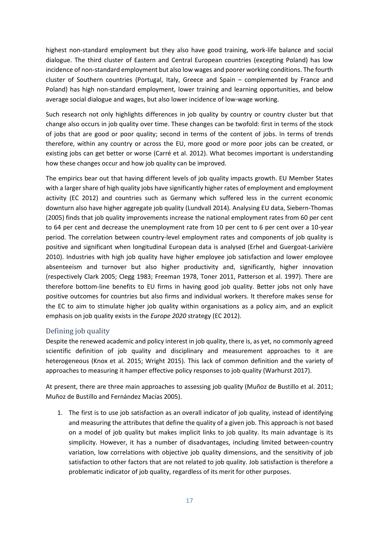highest non-standard employment but they also have good training, work-life balance and social dialogue. The third cluster of Eastern and Central European countries (excepting Poland) has low incidence of non-standard employment but also low wages and poorer working conditions. The fourth cluster of Southern countries (Portugal, Italy, Greece and Spain – complemented by France and Poland) has high non-standard employment, lower training and learning opportunities, and below average social dialogue and wages, but also lower incidence of low-wage working.

Such research not only highlights differences in job quality by country or country cluster but that change also occurs in job quality over time. These changes can be twofold: first in terms of the stock of jobs that are good or poor quality; second in terms of the content of jobs. In terms of trends therefore, within any country or across the EU, more good or more poor jobs can be created, or existing jobs can get better or worse (Carré et al. 2012). What becomes important is understanding how these changes occur and how job quality can be improved.

The empirics bear out that having different levels of job quality impacts growth. EU Member States with a larger share of high quality jobs have significantly higher rates of employment and employment activity (EC 2012) and countries such as Germany which suffered less in the current economic downturn also have higher aggregate job quality (Lundvall 2014). Analysing EU data, Siebern-Thomas (2005) finds that job quality improvements increase the national employment rates from 60 per cent to 64 per cent and decrease the unemployment rate from 10 per cent to 6 per cent over a 10-year period. The correlation between country-level employment rates and components of job quality is positive and significant when longitudinal European data is analysed (Erhel and Guergoat-Larivière 2010). Industries with high job quality have higher employee job satisfaction and lower employee absenteeism and turnover but also higher productivity and, significantly, higher innovation (respectively Clark 2005; Clegg 1983; Freeman 1978, Toner 2011, Patterson et al. 1997). There are therefore bottom-line benefits to EU firms in having good job quality. Better jobs not only have positive outcomes for countries but also firms and individual workers. It therefore makes sense for the EC to aim to stimulate higher job quality within organisations as a policy aim, and an explicit emphasis on job quality exists in the *Europe 2020* strategy (EC 2012).

# <span id="page-16-0"></span>Defining job quality

Despite the renewed academic and policy interest in job quality, there is, as yet, no commonly agreed scientific definition of job quality and disciplinary and measurement approaches to it are heterogeneous (Knox et al. 2015; Wright 2015). This lack of common definition and the variety of approaches to measuring it hamper effective policy responses to job quality (Warhurst 2017).

At present, there are three main approaches to assessing job quality (Muñoz de Bustillo et al. 2011; Muñoz de Bustillo and Fernández Macías 2005).

1. The first is to use job satisfaction as an overall indicator of job quality, instead of identifying and measuring the attributes that define the quality of a given job. This approach is not based on a model of job quality but makes implicit links to job quality. Its main advantage is its simplicity. However, it has a number of disadvantages, including limited between-country variation, low correlations with objective job quality dimensions, and the sensitivity of job satisfaction to other factors that are not related to job quality. Job satisfaction is therefore a problematic indicator of job quality, regardless of its merit for other purposes.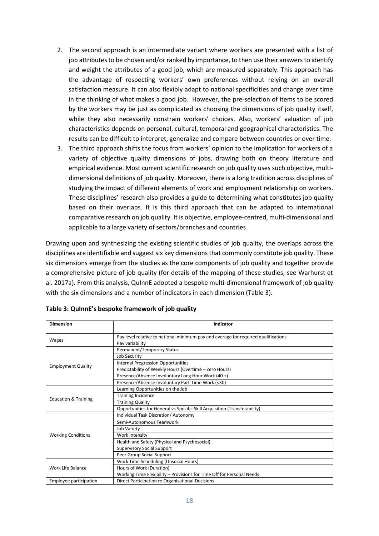- 2. The second approach is an intermediate variant where workers are presented with a list of job attributes to be chosen and/or ranked by importance, to then use their answers to identify and weight the attributes of a good job, which are measured separately. This approach has the advantage of respecting workers' own preferences without relying on an overall satisfaction measure. It can also flexibly adapt to national specificities and change over time in the thinking of what makes a good job. However, the pre-selection of items to be scored by the workers may be just as complicated as choosing the dimensions of job quality itself, while they also necessarily constrain workers' choices. Also, workers' valuation of job characteristics depends on personal, cultural, temporal and geographical characteristics. The results can be difficult to interpret, generalize and compare between countries or over time.
- 3. The third approach shifts the focus from workers' opinion to the implication for workers of a variety of objective quality dimensions of jobs, drawing both on theory literature and empirical evidence. Most current scientific research on job quality uses such objective, multidimensional definitions of job quality. Moreover, there is a long tradition across disciplines of studying the impact of different elements of work and employment relationship on workers. These disciplines' research also provides a guide to determining what constitutes job quality based on their overlaps. It is this third approach that can be adapted to international comparative research on job quality. It is objective, employee-centred, multi-dimensional and applicable to a large variety of sectors/branches and countries.

Drawing upon and synthesizing the existing scientific studies of job quality, the overlaps across the disciplines are identifiable and suggest six key dimensions that commonly constitute job quality. These six dimensions emerge from the studies as the core components of job quality and together provide a comprehensive picture of job quality (for details of the mapping of these studies, see Warhurst et al. 2017a). From this analysis, QuInnE adopted a bespoke multi-dimensional framework of job quality with the six dimensions and a number of indicators in each dimension (Table 3).

| <b>Dimension</b>                | Indicator                                                                          |
|---------------------------------|------------------------------------------------------------------------------------|
|                                 | Pay level relative to national minimum pay and average for required qualifications |
| Wages                           | Pay variability                                                                    |
|                                 | Permanent/Temporary Status                                                         |
|                                 | <b>Job Security</b>                                                                |
|                                 | <b>Internal Progression Opportunities</b>                                          |
| <b>Employment Quality</b>       | Predictability of Weekly Hours (Overtime - Zero Hours)                             |
|                                 | Presence/Absence Involuntary Long Hour Work (40+)                                  |
|                                 | Presence/Absence Involuntary Part-Time Work (<30)                                  |
|                                 | Learning Opportunities on the Job                                                  |
| <b>Education &amp; Training</b> | <b>Training Incidence</b>                                                          |
|                                 | <b>Training Quality</b>                                                            |
|                                 | Opportunities for General vs Specific Skill Acquisition (Transferability)          |
|                                 | Individual Task Discretion/ Autonomy                                               |
|                                 | Semi-Autonomous Teamwork                                                           |
|                                 | Job Variety                                                                        |
| <b>Working Conditions</b>       | Work Intensity                                                                     |
|                                 | Health and Safety (Physical and Psychosocial)                                      |
|                                 | <b>Supervisory Social Support</b>                                                  |
|                                 | Peer Group Social Support                                                          |
|                                 | Work Time Scheduling (Unsocial Hours)                                              |
| Work Life Balance               | Hours of Work (Duration)                                                           |
|                                 | Working Time Flexibility - Provisions for Time Off for Personal Needs              |
| Employee participation          | Direct Participation re Organisational Decisions                                   |

|  |  |  | Table 3: QuinnE's bespoke framework of job quality |  |  |
|--|--|--|----------------------------------------------------|--|--|
|--|--|--|----------------------------------------------------|--|--|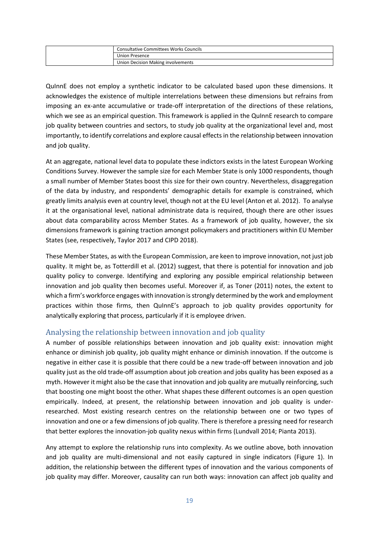| <b>Consultative Committees Works Councils</b> |
|-----------------------------------------------|
| Union Presence                                |
| Union Decision Making involvements            |

QuInnE does not employ a synthetic indicator to be calculated based upon these dimensions. It acknowledges the existence of multiple interrelations between these dimensions but refrains from imposing an ex-ante accumulative or trade-off interpretation of the directions of these relations, which we see as an empirical question. This framework is applied in the QuInnE research to compare job quality between countries and sectors, to study job quality at the organizational level and, most importantly, to identify correlations and explore causal effects in the relationship between innovation and job quality.

At an aggregate, national level data to populate these indictors exists in the latest European Working Conditions Survey. However the sample size for each Member State is only 1000 respondents, though a small number of Member States boost this size for their own country. Nevertheless, disaggregation of the data by industry, and respondents' demographic details for example is constrained, which greatly limits analysis even at country level, though not at the EU level (Anton et al. 2012). To analyse it at the organisational level, national administrate data is required, though there are other issues about data comparability across Member States. As a framework of job quality, however, the six dimensions framework is gaining traction amongst policymakers and practitioners within EU Member States (see, respectively, Taylor 2017 and CIPD 2018).

These Member States, as with the European Commission, are keen to improve innovation, not just job quality. It might be, as Totterdill et al. (2012) suggest, that there is potential for innovation and job quality policy to converge. Identifying and exploring any possible empirical relationship between innovation and job quality then becomes useful. Moreover if, as Toner (2011) notes, the extent to which a firm's workforce engages with innovation is strongly determined by the work and employment practices within those firms, then QuInnE's approach to job quality provides opportunity for analytically exploring that process, particularly if it is employee driven.

# <span id="page-18-0"></span>Analysing the relationship between innovation and job quality

A number of possible relationships between innovation and job quality exist: innovation might enhance or diminish job quality, job quality might enhance or diminish innovation. If the outcome is negative in either case it is possible that there could be a new trade-off between innovation and job quality just as the old trade-off assumption about job creation and jobs quality has been exposed as a myth. However it might also be the case that innovation and job quality are mutually reinforcing, such that boosting one might boost the other. What shapes these different outcomes is an open question empirically. Indeed, at present, the relationship between innovation and job quality is underresearched. Most existing research centres on the relationship between one or two types of innovation and one or a few dimensions of job quality. There is therefore a pressing need for research that better explores the innovation-job quality nexus within firms (Lundvall 2014; Pianta 2013).

Any attempt to explore the relationship runs into complexity. As we outline above, both innovation and job quality are multi-dimensional and not easily captured in single indicators (Figure 1). In addition, the relationship between the different types of innovation and the various components of job quality may differ. Moreover, causality can run both ways: innovation can affect job quality and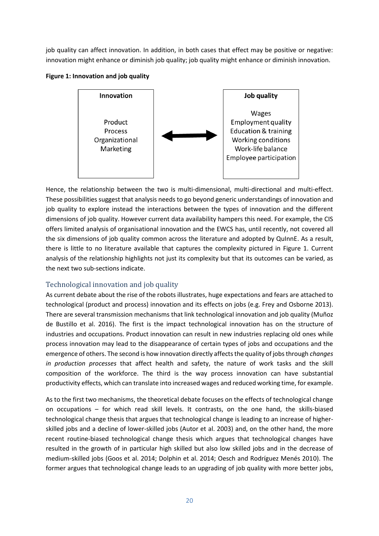job quality can affect innovation. In addition, in both cases that effect may be positive or negative: innovation might enhance or diminish job quality; job quality might enhance or diminish innovation.





Hence, the relationship between the two is multi-dimensional, multi-directional and multi-effect. These possibilities suggest that analysis needs to go beyond generic understandings of innovation and job quality to explore instead the interactions between the types of innovation and the different dimensions of job quality. However current data availability hampers this need. For example, the CIS offers limited analysis of organisational innovation and the EWCS has, until recently, not covered all the six dimensions of job quality common across the literature and adopted by QuInnE. As a result, there is little to no literature available that captures the complexity pictured in Figure 1. Current analysis of the relationship highlights not just its complexity but that its outcomes can be varied, as the next two sub-sections indicate.

# <span id="page-19-0"></span>Technological innovation and job quality

As current debate about the rise of the robots illustrates, huge expectations and fears are attached to technological (product and process) innovation and its effects on jobs (e.g. Frey and Osborne 2013). There are several transmission mechanisms that link technological innovation and job quality (Muñoz de Bustillo et al. 2016). The first is the impact technological innovation has on the structure of industries and occupations. Product innovation can result in new industries replacing old ones while process innovation may lead to the disappearance of certain types of jobs and occupations and the emergence of others. The second is how innovation directly affects the quality of jobs through *changes in production processes* that affect health and safety, the nature of work tasks and the skill composition of the workforce. The third is the way process innovation can have substantial productivity effects, which can translate into increased wages and reduced working time, for example.

As to the first two mechanisms, the theoretical debate focuses on the effects of technological change on occupations – for which read skill levels. It contrasts, on the one hand, the skills-biased technological change thesis that argues that technological change is leading to an increase of higherskilled jobs and a decline of lower-skilled jobs (Autor et al. 2003) and, on the other hand, the more recent routine-biased technological change thesis which argues that technological changes have resulted in the growth of in particular high skilled but also low skilled jobs and in the decrease of medium-skilled jobs (Goos et al. 2014; Dolphin et al. 2014; Oesch and Rodríguez Menés 2010). The former argues that technological change leads to an upgrading of job quality with more better jobs,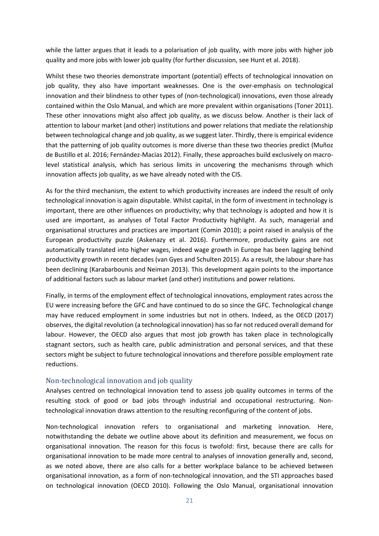while the latter argues that it leads to a polarisation of job quality, with more jobs with higher job quality and more jobs with lower job quality (for further discussion, see Hunt et al. 2018).

Whilst these two theories demonstrate important (potential) effects of technological innovation on job quality, they also have important weaknesses. One is the over-emphasis on technological innovation and their blindness to other types of (non-technological) innovations, even those already contained within the Oslo Manual, and which are more prevalent within organisations (Toner 2011). These other innovations might also affect job quality, as we discuss below. Another is their lack of attention to labour market (and other) institutions and power relations that mediate the relationship between technological change and job quality, as we suggest later. Thirdly, there is empirical evidence that the patterning of job quality outcomes is more diverse than these two theories predict (Muñoz de Bustillo et al. 2016; Fernández-Macias 2012). Finally, these approaches build exclusively on macrolevel statistical analysis, which has serious limits in uncovering the mechanisms through which innovation affects job quality, as we have already noted with the CIS.

As for the third mechanism, the extent to which productivity increases are indeed the result of only technological innovation is again disputable. Whilst capital, in the form of investment in technology is important, there are other influences on productivity; why that technology is adopted and how it is used are important, as analyses of Total Factor Productivity highlight. As such, managerial and organisational structures and practices are important (Comin 2010); a point raised in analysis of the European productivity puzzle (Askenazy et al. 2016). Furthermore, productivity gains are not automatically translated into higher wages, indeed wage growth in Europe has been lagging behind productivity growth in recent decades (van Gyes and Schulten 2015). As a result, the labour share has been declining (Karabarbounis and Neiman 2013). This development again points to the importance of additional factors such as labour market (and other) institutions and power relations.

Finally, in terms of the employment effect of technological innovations, employment rates across the EU were increasing before the GFC and have continued to do so since the GFC. Technological change may have reduced employment in some industries but not in others. Indeed, as the OECD (2017) observes, the digital revolution (a technological innovation) has so far not reduced overall demand for labour. However, the OECD also argues that most job growth has taken place in technologically stagnant sectors, such as health care, public administration and personal services, and that these sectors might be subject to future technological innovations and therefore possible employment rate reductions.

#### <span id="page-20-0"></span>Non-technological innovation and job quality

Analyses centred on technological innovation tend to assess job quality outcomes in terms of the resulting stock of good or bad jobs through industrial and occupational restructuring. Nontechnological innovation draws attention to the resulting reconfiguring of the content of jobs.

Non-technological innovation refers to organisational and marketing innovation. Here, notwithstanding the debate we outline above about its definition and measurement, we focus on organisational innovation. The reason for this focus is twofold: first, because there are calls for organisational innovation to be made more central to analyses of innovation generally and, second, as we noted above, there are also calls for a better workplace balance to be achieved between organisational innovation, as a form of non-technological innovation, and the STI approaches based on technological innovation (OECD 2010). Following the Oslo Manual, organisational innovation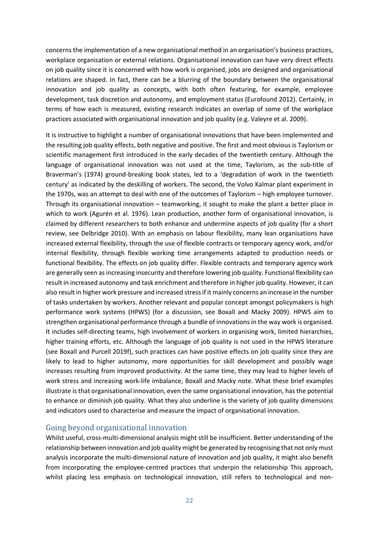concerns the implementation of a new organisational method in an organisation's business practices, workplace organisation or external relations. Organisational innovation can have very direct effects on job quality since it is concerned with how work is organised, jobs are designed and organisational relations are shaped. In fact, there can be a blurring of the boundary between the organisational innovation and job quality as concepts, with both often featuring, for example, employee development, task discretion and autonomy, and employment status (Eurofound 2012). Certainly, in terms of how each is measured, existing research indicates an overlap of some of the workplace practices associated with organisational innovation and job quality (e.g. Valeyre et al. 2009).

It is instructive to highlight a number of organisational innovations that have been implemented and the resulting job quality effects, both negative and positive. The first and most obvious is Taylorism or scientific management first introduced in the early decades of the twentieth century. Although the language of organisational innovation was not used at the time, Taylorism, as the sub-title of Braverman's (1974) ground-breaking book states, led to a 'degradation of work in the twentieth century' as indicated by the deskilling of workers. The second, the Volvo Kalmar plant experiment in the 1970s, was an attempt to deal with one of the outcomes of Taylorism – high employee turnover. Through its organisational innovation – teamworking, it sought to make the plant a better place in which to work (Agurén et al. 1976). Lean production, another form of organisational innovation, is claimed by different researchers to both enhance and undermine aspects of job quality (for a short review, see Delbridge 2010). With an emphasis on labour flexibility, many lean organisations have increased external flexibility, through the use of flexible contracts or temporary agency work, and/or internal flexibility, through flexible working time arrangements adapted to production needs or functional flexibility. The effects on job quality differ. Flexible contracts and temporary agency work are generally seen as increasing insecurity and therefore lowering job quality. Functional flexibility can result in increased autonomy and task enrichment and therefore in higher job quality. However, it can also result in higher work pressure and increased stress if it mainly concerns an increase in the number of tasks undertaken by workers. Another relevant and popular concept amongst policymakers is high performance work systems (HPWS) (for a discussion, see Boxall and Macky 2009). HPWS aim to strengthen organisational performance through a bundle of innovations in the way work is organised. It includes self-directing teams, high involvement of workers in organising work, limited hierarchies, higher training efforts, etc. Although the language of job quality is not used in the HPWS literature (see Boxall and Purcell 2019f), such practices can have positive effects on job quality since they are likely to lead to higher autonomy, more opportunities for skill development and possibly wage increases resulting from improved productivity. At the same time, they may lead to higher levels of work stress and increasing work-life imbalance, Boxall and Macky note. What these brief examples illustrate is that organisational innovation, even the same organisational innovation, has the potential to enhance or diminish job quality. What they also underline is the variety of job quality dimensions and indicators used to characterise and measure the impact of organisational innovation.

## <span id="page-21-0"></span>Going beyond organisational innovation

Whilst useful, cross-multi-dimensional analysis might still be insufficient. Better understanding of the relationship between innovation and job quality might be generated by recognising that not only must analysis incorporate the multi-dimensional nature of innovation and job quality, it might also benefit from incorporating the employee-centred practices that underpin the relationship This approach, whilst placing less emphasis on technological innovation, still refers to technological and non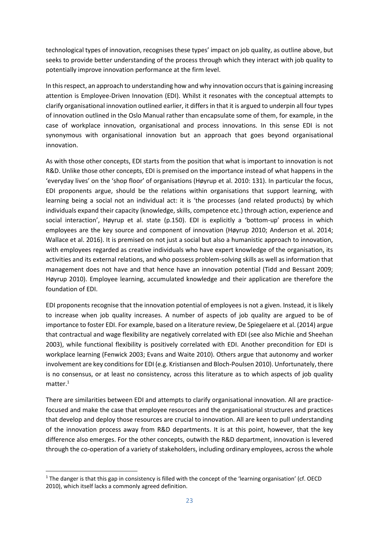technological types of innovation, recognises these types' impact on job quality, as outline above, but seeks to provide better understanding of the process through which they interact with job quality to potentially improve innovation performance at the firm level.

In this respect, an approach to understanding how and why innovation occurs that is gaining increasing attention is Employee-Driven Innovation (EDI). Whilst it resonates with the conceptual attempts to clarify organisational innovation outlined earlier, it differs in that it is argued to underpin all four types of innovation outlined in the Oslo Manual rather than encapsulate some of them, for example, in the case of workplace innovation, organisational and process innovations. In this sense EDI is not synonymous with organisational innovation but an approach that goes beyond organisational innovation.

As with those other concepts, EDI starts from the position that what is important to innovation is not R&D. Unlike those other concepts, EDI is premised on the importance instead of what happens in the 'everyday lives' on the 'shop floor' of organisations (Høyrup et al. 2010: 131). In particular the focus, EDI proponents argue, should be the relations within organisations that support learning, with learning being a social not an individual act: it is 'the processes (and related products) by which individuals expand their capacity (knowledge, skills, competence etc.) through action, experience and social interaction', Høyrup et al. state (p.150). EDI is explicitly a 'bottom-up' process in which employees are the key source and component of innovation (Høyrup 2010; Anderson et al. 2014; Wallace et al. 2016). It is premised on not just a social but also a humanistic approach to innovation, with employees regarded as creative individuals who have expert knowledge of the organisation, its activities and its external relations, and who possess problem-solving skills as well as information that management does not have and that hence have an innovation potential (Tidd and Bessant 2009; Høyrup 2010). Employee learning, accumulated knowledge and their application are therefore the foundation of EDI.

EDI proponents recognise that the innovation potential of employees is not a given. Instead, it is likely to increase when job quality increases. A number of aspects of job quality are argued to be of importance to foster EDI. For example, based on a literature review, De Spiegelaere et al. (2014) argue that contractual and wage flexibility are negatively correlated with EDI (see also Michie and Sheehan 2003), while functional flexibility is positively correlated with EDI. Another precondition for EDI is workplace learning (Fenwick 2003; Evans and Waite 2010). Others argue that autonomy and worker involvement are key conditions for EDI (e.g. Kristiansen and Bloch-Poulsen 2010). Unfortunately, there is no consensus, or at least no consistency, across this literature as to which aspects of job quality matter.<sup>1</sup>

There are similarities between EDI and attempts to clarify organisational innovation. All are practicefocused and make the case that employee resources and the organisational structures and practices that develop and deploy those resources are crucial to innovation. All are keen to pull understanding of the innovation process away from R&D departments. It is at this point, however, that the key difference also emerges. For the other concepts, outwith the R&D department, innovation is levered through the co-operation of a variety of stakeholders, including ordinary employees, across the whole

**.** 

 $1$  The danger is that this gap in consistency is filled with the concept of the 'learning organisation' (cf. OECD 2010), which itself lacks a commonly agreed definition.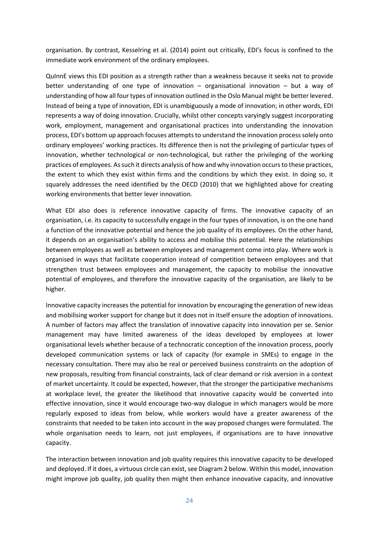organisation. By contrast, Kesselring et al. (2014) point out critically, EDI's focus is confined to the immediate work environment of the ordinary employees.

QuInnE views this EDI position as a strength rather than a weakness because it seeks not to provide better understanding of one type of innovation – organisational innovation – but a way of understanding of how all four types of innovation outlined in the Oslo Manual might be better levered. Instead of being a type of innovation, EDI is unambiguously a mode of innovation; in other words, EDI represents a way of doing innovation. Crucially, whilst other concepts varyingly suggest incorporating work, employment, management and organisational practices into understanding the innovation process, EDI's bottom up approach focuses attempts to understand the innovation process solely onto ordinary employees' working practices. Its difference then is not the privileging of particular types of innovation, whether technological or non-technological, but rather the privileging of the working practices of employees. As such it directs analysis of how and why innovation occurs to these practices, the extent to which they exist within firms and the conditions by which they exist. In doing so, it squarely addresses the need identified by the OECD (2010) that we highlighted above for creating working environments that better lever innovation.

What EDI also does is reference innovative capacity of firms. The innovative capacity of an organisation, i.e. its capacity to successfully engage in the four types of innovation, is on the one hand a function of the innovative potential and hence the job quality of its employees. On the other hand, it depends on an organisation's ability to access and mobilise this potential. Here the relationships between employees as well as between employees and management come into play. Where work is organised in ways that facilitate cooperation instead of competition between employees and that strengthen trust between employees and management, the capacity to mobilise the innovative potential of employees, and therefore the innovative capacity of the organisation, are likely to be higher.

Innovative capacity increases the potential for innovation by encouraging the generation of new ideas and mobilising worker support for change but it does not in itself ensure the adoption of innovations. A number of factors may affect the translation of innovative capacity into innovation per se. Senior management may have limited awareness of the ideas developed by employees at lower organisational levels whether because of a technocratic conception of the innovation process, poorly developed communication systems or lack of capacity (for example in SMEs) to engage in the necessary consultation. There may also be real or perceived business constraints on the adoption of new proposals, resulting from financial constraints, lack of clear demand or risk aversion in a context of market uncertainty. It could be expected, however, that the stronger the participative mechanisms at workplace level, the greater the likelihood that innovative capacity would be converted into effective innovation, since it would encourage two-way dialogue in which managers would be more regularly exposed to ideas from below, while workers would have a greater awareness of the constraints that needed to be taken into account in the way proposed changes were formulated. The whole organisation needs to learn, not just employees, if organisations are to have innovative capacity.

The interaction between innovation and job quality requires this innovative capacity to be developed and deployed. If it does, a virtuous circle can exist, see Diagram 2 below. Within this model, innovation might improve job quality, job quality then might then enhance innovative capacity, and innovative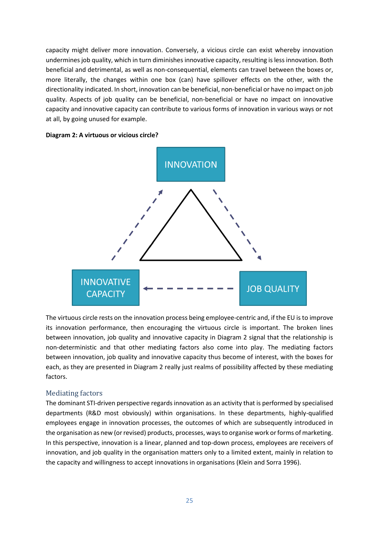capacity might deliver more innovation. Conversely, a vicious circle can exist whereby innovation undermines job quality, which in turn diminishes innovative capacity, resulting is less innovation. Both beneficial and detrimental, as well as non-consequential, elements can travel between the boxes or, more literally, the changes within one box (can) have spillover effects on the other, with the directionality indicated. In short, innovation can be beneficial, non-beneficial or have no impact on job quality. Aspects of job quality can be beneficial, non-beneficial or have no impact on innovative capacity and innovative capacity can contribute to various forms of innovation in various ways or not at all, by going unused for example.





The virtuous circle rests on the innovation process being employee-centric and, if the EU is to improve its innovation performance, then encouraging the virtuous circle is important. The broken lines between innovation, job quality and innovative capacity in Diagram 2 signal that the relationship is non-deterministic and that other mediating factors also come into play. The mediating factors between innovation, job quality and innovative capacity thus become of interest, with the boxes for each, as they are presented in Diagram 2 really just realms of possibility affected by these mediating factors.

## <span id="page-24-0"></span>Mediating factors

The dominant STI-driven perspective regards innovation as an activity that is performed by specialised departments (R&D most obviously) within organisations. In these departments, highly-qualified employees engage in innovation processes, the outcomes of which are subsequently introduced in the organisation as new (or revised) products, processes, ways to organise work or forms of marketing. In this perspective, innovation is a linear, planned and top-down process, employees are receivers of innovation, and job quality in the organisation matters only to a limited extent, mainly in relation to the capacity and willingness to accept innovations in organisations (Klein and Sorra 1996).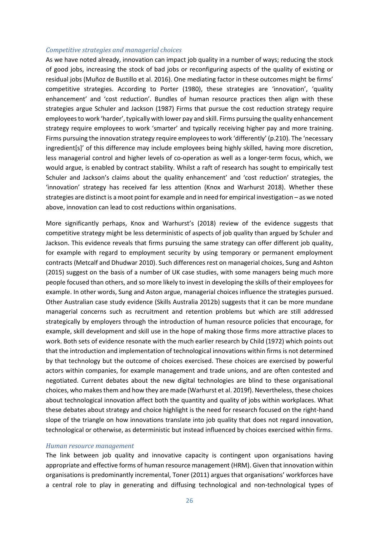#### *Competitive strategies and managerial choices*

As we have noted already, innovation can impact job quality in a number of ways; reducing the stock of good jobs, increasing the stock of bad jobs or reconfiguring aspects of the quality of existing or residual jobs (Muñoz de Bustillo et al. 2016). One mediating factor in these outcomes might be firms' competitive strategies. According to Porter (1980), these strategies are 'innovation', 'quality enhancement' and 'cost reduction'. Bundles of human resource practices then align with these strategies argue Schuler and Jackson (1987) Firms that pursue the cost reduction strategy require employees to work 'harder', typically with lower pay and skill. Firms pursuing the quality enhancement strategy require employees to work 'smarter' and typically receiving higher pay and more training. Firms pursuing the innovation strategy require employees to work 'differently' (p.210). The 'necessary ingredient[s]' of this difference may include employees being highly skilled, having more discretion, less managerial control and higher levels of co-operation as well as a longer-term focus, which, we would argue, is enabled by contract stability. Whilst a raft of research has sought to empirically test Schuler and Jackson's claims about the quality enhancement' and 'cost reduction' strategies, the 'innovation' strategy has received far less attention (Knox and Warhurst 2018). Whether these strategies are distinct is a moot point for example and in need for empirical investigation – as we noted above, innovation can lead to cost reductions within organisations.

More significantly perhaps, Knox and Warhurst's (2018) review of the evidence suggests that competitive strategy might be less deterministic of aspects of job quality than argued by Schuler and Jackson. This evidence reveals that firms pursuing the same strategy can offer different job quality, for example with regard to employment security by using temporary or permanent employment contracts (Metcalf and Dhudwar 2010). Such differences rest on managerial choices, Sung and Ashton (2015) suggest on the basis of a number of UK case studies, with some managers being much more people focused than others, and so more likely to invest in developing the skills of their employees for example. In other words, Sung and Aston argue, managerial choices influence the strategies pursued. Other Australian case study evidence (Skills Australia 2012b) suggests that it can be more mundane managerial concerns such as recruitment and retention problems but which are still addressed strategically by employers through the introduction of human resource policies that encourage, for example, skill development and skill use in the hope of making those firms more attractive places to work. Both sets of evidence resonate with the much earlier research by Child (1972) which points out that the introduction and implementation of technological innovations within firms is not determined by that technology but the outcome of choices exercised. These choices are exercised by powerful actors within companies, for example management and trade unions, and are often contested and negotiated. Current debates about the new digital technologies are blind to these organisational choices, who makes them and how they are made (Warhurst et al. 2019f). Nevertheless, these choices about technological innovation affect both the quantity and quality of jobs within workplaces. What these debates about strategy and choice highlight is the need for research focused on the right-hand slope of the triangle on how innovations translate into job quality that does not regard innovation, technological or otherwise, as deterministic but instead influenced by choices exercised within firms.

#### *Human resource management*

The link between job quality and innovative capacity is contingent upon organisations having appropriate and effective forms of human resource management (HRM). Given that innovation within organisations is predominantly incremental, Toner (2011) argues that organisations' workforces have a central role to play in generating and diffusing technological and non-technological types of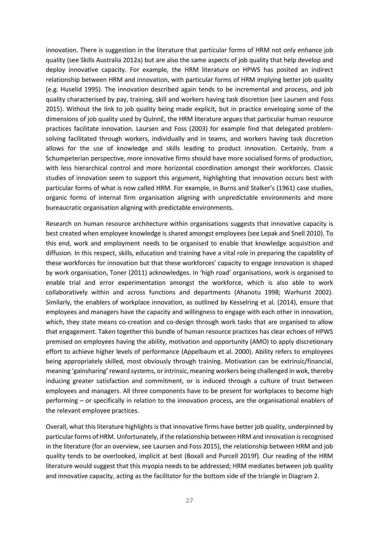innovation. There is suggestion in the literature that particular forms of HRM not only enhance job quality (see Skills Australia 2012a) but are also the same aspects of job quality that help develop and deploy innovative capacity. For example, the HRM literature on HPWS has posited an indirect relationship between HRM and innovation, with particular forms of HRM implying better job quality (e.g. Huselid 1995). The innovation described again tends to be incremental and process, and job quality characterised by pay, training, skill and workers having task discretion (see Laursen and Foss 2015). Without the link to job quality being made explicit, but in practice enveloping some of the dimensions of job quality used by QuInnE, the HRM literature argues that particular human resource practices facilitate innovation. Laursen and Foss (2003) for example find that delegated problemsolving facilitated through workers, individually and in teams, and workers having task discretion allows for the use of knowledge and skills leading to product innovation. Certainly, from a Schumpeterian perspective, more innovative firms should have more socialised forms of production, with less hierarchical control and more horizontal coordination amongst their workforces. Classic studies of innovation seem to support this argument, highlighting that innovation occurs best with particular forms of what is now called HRM. For example, in Burns and Stalker's (1961) case studies, organic forms of internal firm organisation aligning with unpredictable environments and more bureaucratic organisation aligning with predictable environments.

Research on human resource architecture within organisations suggests that innovative capacity is best created when employee knowledge is shared amongst employees (see Lepak and Snell 2010). To this end, work and employment needs to be organised to enable that knowledge acquisition and diffusion. In this respect, skills, education and training have a vital role in preparing the capability of these workforces for innovation but that these workforces' capacity to engage innovation is shaped by work organisation, Toner (2011) acknowledges. In 'high road' organisations, work is organised to enable trial and error experimentation amongst the workforce, which is also able to work collaboratively within and across functions and departments (Ahanotu 1998; Warhurst 2002). Similarly, the enablers of workplace innovation, as outlined by Kesselring et al. (2014), ensure that employees and managers have the capacity and willingness to engage with each other in innovation, which, they state means co-creation and co-design through work tasks that are organised to allow that engagement. Taken together this bundle of human resource practices has clear echoes of HPWS premised on employees having the ability, motivation and opportunity (AMO) to apply discretionary effort to achieve higher levels of performance (Appelbaum et al. 2000). Ability refers to employees being appropriately skilled, most obviously through training. Motivation can be extrinsic/financial, meaning 'gainsharing' reward systems, or intrinsic, meaning workers being challenged in wok, thereby inducing greater satisfaction and commitment, or is induced through a culture of trust between employees and managers. All three components have to be present for workplaces to become high performing – or specifically in relation to the innovation process, are the organisational enablers of the relevant employee practices.

Overall, what this literature highlights is that innovative firms have better job quality, underpinned by particular forms of HRM. Unfortunately, if the relationship between HRM and innovation is recognised in the literature (for an overview, see Laursen and Foss 2015), the relationship between HRM and job quality tends to be overlooked, implicit at best (Boxall and Purcell 2019f). Our reading of the HRM literature would suggest that this myopia needs to be addressed; HRM mediates between job quality and innovative capacity, acting as the facilitator for the bottom side of the triangle in Diagram 2.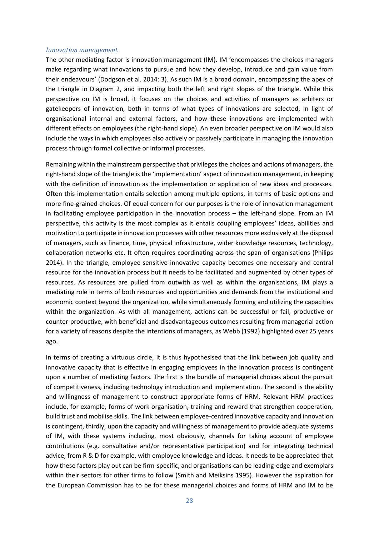#### *Innovation management*

The other mediating factor is innovation management (IM). IM 'encompasses the choices managers make regarding what innovations to pursue and how they develop, introduce and gain value from their endeavours' (Dodgson et al. 2014: 3). As such IM is a broad domain, encompassing the apex of the triangle in Diagram 2, and impacting both the left and right slopes of the triangle. While this perspective on IM is broad, it focuses on the choices and activities of managers as arbiters or gatekeepers of innovation, both in terms of what types of innovations are selected, in light of organisational internal and external factors, and how these innovations are implemented with different effects on employees (the right-hand slope). An even broader perspective on IM would also include the ways in which employees also actively or passively participate in managing the innovation process through formal collective or informal processes.

Remaining within the mainstream perspective that privileges the choices and actions of managers, the right-hand slope of the triangle is the 'implementation' aspect of innovation management, in keeping with the definition of innovation as the implementation or application of new ideas and processes. Often this implementation entails selection among multiple options, in terms of basic options and more fine-grained choices. Of equal concern for our purposes is the role of innovation management in facilitating employee participation in the innovation process – the left-hand slope. From an IM perspective, this activity is the most complex as it entails coupling employees' ideas, abilities and motivation to participate in innovation processes with other resources more exclusively at the disposal of managers, such as finance, time, physical infrastructure, wider knowledge resources, technology, collaboration networks etc. It often requires coordinating across the span of organisations (Philips 2014). In the triangle, employee-sensitive innovative capacity becomes one necessary and central resource for the innovation process but it needs to be facilitated and augmented by other types of resources. As resources are pulled from outwith as well as within the organisations, IM plays a mediating role in terms of both resources and opportunities and demands from the institutional and economic context beyond the organization, while simultaneously forming and utilizing the capacities within the organization. As with all management, actions can be successful or fail, productive or counter-productive, with beneficial and disadvantageous outcomes resulting from managerial action for a variety of reasons despite the intentions of managers, as Webb (1992) highlighted over 25 years ago.

In terms of creating a virtuous circle, it is thus hypothesised that the link between job quality and innovative capacity that is effective in engaging employees in the innovation process is contingent upon a number of mediating factors. The first is the bundle of managerial choices about the pursuit of competitiveness, including technology introduction and implementation. The second is the ability and willingness of management to construct appropriate forms of HRM. Relevant HRM practices include, for example, forms of work organisation, training and reward that strengthen cooperation, build trust and mobilise skills. The link between employee-centred innovative capacity and innovation is contingent, thirdly, upon the capacity and willingness of management to provide adequate systems of IM, with these systems including, most obviously, channels for taking account of employee contributions (e.g. consultative and/or representative participation) and for integrating technical advice, from R & D for example, with employee knowledge and ideas. It needs to be appreciated that how these factors play out can be firm-specific, and organisations can be leading-edge and exemplars within their sectors for other firms to follow (Smith and Meiksins 1995). However the aspiration for the European Commission has to be for these managerial choices and forms of HRM and IM to be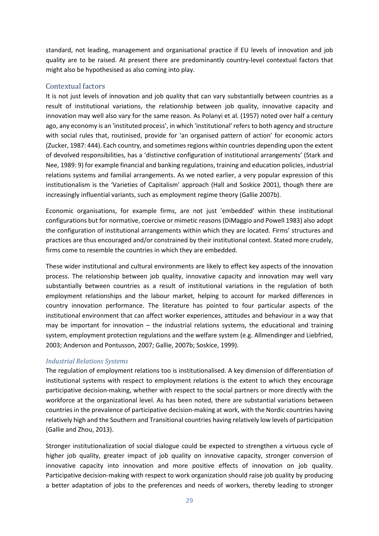standard, not leading, management and organisational practice if EU levels of innovation and job quality are to be raised. At present there are predominantly country-level contextual factors that might also be hypothesised as also coming into play.

#### <span id="page-28-0"></span>Contextual factors

It is not just levels of innovation and job quality that can vary substantially between countries as a result of institutional variations, the relationship between job quality, innovative capacity and innovation may well also vary for the same reason. As Polanyi et al. (1957) noted over half a century ago, any economy is an 'instituted process', in which 'institutional' refers to both agency and structure with social rules that, routinised, provide for 'an organised pattern of action' for economic actors (Zucker, 1987: 444). Each country, and sometimes regions within countries depending upon the extent of devolved responsibilities, has a 'distinctive configuration of institutional arrangements' (Stark and Nee, 1989: 9) for example financial and banking regulations, training and education policies, industrial relations systems and familial arrangements. As we noted earlier, a very popular expression of this institutionalism is the 'Varieties of Capitalism' approach (Hall and Soskice 2001), though there are increasingly influential variants, such as employment regime theory (Gallie 2007b).

Economic organisations, for example firms, are not just 'embedded' within these institutional configurations but for normative, coercive or mimetic reasons (DiMaggio and Powell 1983) also adopt the configuration of institutional arrangements within which they are located. Firms' structures and practices are thus encouraged and/or constrained by their institutional context. Stated more crudely, firms come to resemble the countries in which they are embedded.

These wider institutional and cultural environments are likely to effect key aspects of the innovation process. The relationship between job quality, innovative capacity and innovation may well vary substantially between countries as a result of institutional variations in the regulation of both employment relationships and the labour market, helping to account for marked differences in country innovation performance. The literature has pointed to four particular aspects of the institutional environment that can affect worker experiences, attitudes and behaviour in a way that may be important for innovation  $-$  the industrial relations systems, the educational and training system, employment protection regulations and the welfare system (e.g. Allmendinger and Liebfried, 2003; Anderson and Pontusson, 2007; Gallie, 2007b; Soskice, 1999).

#### *Industrial Relations Systems*

The regulation of employment relations too is institutionalised. A key dimension of differentiation of institutional systems with respect to employment relations is the extent to which they encourage participative decision-making, whether with respect to the social partners or more directly with the workforce at the organizational level. As has been noted, there are substantial variations between countries in the prevalence of participative decision-making at work, with the Nordic countries having relatively high and the Southern and Transitional countries having relatively low levels of participation (Gallie and Zhou, 2013).

Stronger institutionalization of social dialogue could be expected to strengthen a virtuous cycle of higher job quality, greater impact of job quality on innovative capacity, stronger conversion of innovative capacity into innovation and more positive effects of innovation on job quality. Participative decision-making with respect to work organization should raise job quality by producing a better adaptation of jobs to the preferences and needs of workers, thereby leading to stronger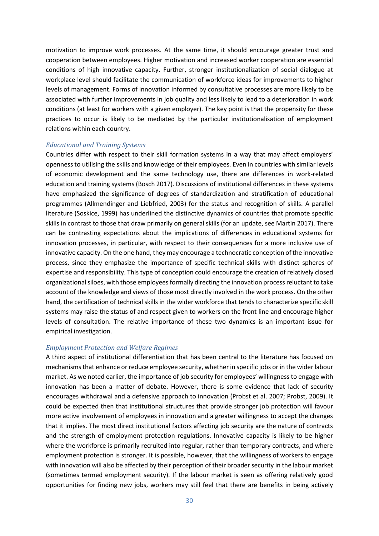motivation to improve work processes. At the same time, it should encourage greater trust and cooperation between employees. Higher motivation and increased worker cooperation are essential conditions of high innovative capacity. Further, stronger institutionalization of social dialogue at workplace level should facilitate the communication of workforce ideas for improvements to higher levels of management. Forms of innovation informed by consultative processes are more likely to be associated with further improvements in job quality and less likely to lead to a deterioration in work conditions (at least for workers with a given employer). The key point is that the propensity for these practices to occur is likely to be mediated by the particular institutionalisation of employment relations within each country.

#### *Educational and Training Systems*

Countries differ with respect to their skill formation systems in a way that may affect employers' openness to utilising the skills and knowledge of their employees. Even in countries with similar levels of economic development and the same technology use, there are differences in work-related education and training systems (Bosch 2017). Discussions of institutional differences in these systems have emphasized the significance of degrees of standardization and stratification of educational programmes (Allmendinger and Liebfried, 2003) for the status and recognition of skills. A parallel literature (Soskice, 1999) has underlined the distinctive dynamics of countries that promote specific skills in contrast to those that draw primarily on general skills (for an update, see Martin 2017). There can be contrasting expectations about the implications of differences in educational systems for innovation processes, in particular, with respect to their consequences for a more inclusive use of innovative capacity. On the one hand, they may encourage a technocratic conception of the innovative process, since they emphasize the importance of specific technical skills with distinct spheres of expertise and responsibility. This type of conception could encourage the creation of relatively closed organizational siloes, with those employees formally directing the innovation process reluctant to take account of the knowledge and views of those most directly involved in the work process. On the other hand, the certification of technical skills in the wider workforce that tends to characterize specific skill systems may raise the status of and respect given to workers on the front line and encourage higher levels of consultation. The relative importance of these two dynamics is an important issue for empirical investigation.

#### *Employment Protection and Welfare Regimes*

A third aspect of institutional differentiation that has been central to the literature has focused on mechanisms that enhance or reduce employee security, whether in specific jobs or in the wider labour market. As we noted earlier, the importance of job security for employees' willingness to engage with innovation has been a matter of debate. However, there is some evidence that lack of security encourages withdrawal and a defensive approach to innovation (Probst et al. 2007; Probst, 2009). It could be expected then that institutional structures that provide stronger job protection will favour more active involvement of employees in innovation and a greater willingness to accept the changes that it implies. The most direct institutional factors affecting job security are the nature of contracts and the strength of employment protection regulations. Innovative capacity is likely to be higher where the workforce is primarily recruited into regular, rather than temporary contracts, and where employment protection is stronger. It is possible, however, that the willingness of workers to engage with innovation will also be affected by their perception of their broader security in the labour market (sometimes termed employment security). If the labour market is seen as offering relatively good opportunities for finding new jobs, workers may still feel that there are benefits in being actively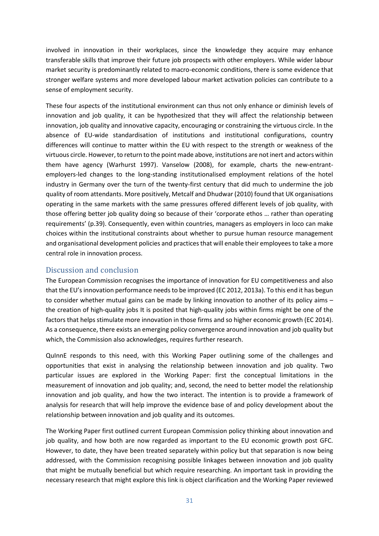involved in innovation in their workplaces, since the knowledge they acquire may enhance transferable skills that improve their future job prospects with other employers. While wider labour market security is predominantly related to macro-economic conditions, there is some evidence that stronger welfare systems and more developed labour market activation policies can contribute to a sense of employment security.

These four aspects of the institutional environment can thus not only enhance or diminish levels of innovation and job quality, it can be hypothesized that they will affect the relationship between innovation, job quality and innovative capacity, encouraging or constraining the virtuous circle. In the absence of EU-wide standardisation of institutions and institutional configurations, country differences will continue to matter within the EU with respect to the strength or weakness of the virtuous circle. However, to return to the point made above, institutions are not inert and actors within them have agency (Warhurst 1997). Vanselow (2008), for example, charts the new-entrantemployers-led changes to the long-standing institutionalised employment relations of the hotel industry in Germany over the turn of the twenty-first century that did much to undermine the job quality of room attendants. More positively, Metcalf and Dhudwar (2010) found that UK organisations operating in the same markets with the same pressures offered different levels of job quality, with those offering better job quality doing so because of their 'corporate ethos … rather than operating requirements' (p.39). Consequently, even within countries, managers as employers in loco can make choices within the institutional constraints about whether to pursue human resource management and organisational development policies and practices that will enable their employees to take a more central role in innovation process.

## <span id="page-30-0"></span>Discussion and conclusion

The European Commission recognises the importance of innovation for EU competitiveness and also that the EU's innovation performance needs to be improved (EC 2012, 2013a). To this end it has begun to consider whether mutual gains can be made by linking innovation to another of its policy aims – the creation of high-quality jobs It is posited that high-quality jobs within firms might be one of the factors that helps stimulate more innovation in those firms and so higher economic growth (EC 2014). As a consequence, there exists an emerging policy convergence around innovation and job quality but which, the Commission also acknowledges, requires further research.

QuInnE responds to this need, with this Working Paper outlining some of the challenges and opportunities that exist in analysing the relationship between innovation and job quality. Two particular issues are explored in the Working Paper: first the conceptual limitations in the measurement of innovation and job quality; and, second, the need to better model the relationship innovation and job quality, and how the two interact. The intention is to provide a framework of analysis for research that will help improve the evidence base of and policy development about the relationship between innovation and job quality and its outcomes.

The Working Paper first outlined current European Commission policy thinking about innovation and job quality, and how both are now regarded as important to the EU economic growth post GFC. However, to date, they have been treated separately within policy but that separation is now being addressed, with the Commission recognising possible linkages between innovation and job quality that might be mutually beneficial but which require researching. An important task in providing the necessary research that might explore this link is object clarification and the Working Paper reviewed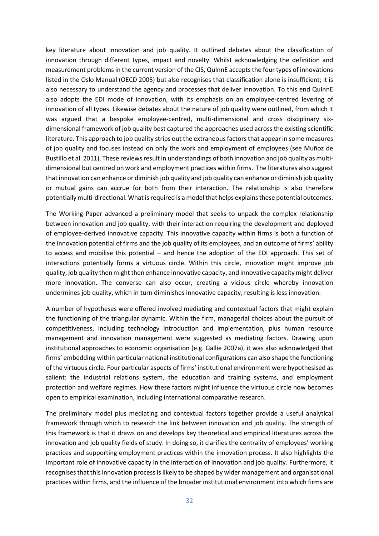key literature about innovation and job quality. It outlined debates about the classification of innovation through different types, impact and novelty. Whilst acknowledging the definition and measurement problemsin the current version of the CIS, QuInnE acceptsthe four types of innovations listed in the Oslo Manual (OECD 2005) but also recognises that classification alone is insufficient; it is also necessary to understand the agency and processes that deliver innovation. To this end QuInnE also adopts the EDI mode of innovation, with its emphasis on an employee-centred levering of innovation of all types. Likewise debates about the nature of job quality were outlined, from which it was argued that a bespoke employee-centred, multi-dimensional and cross disciplinary sixdimensional framework of job quality best captured the approaches used across the existing scientific literature. This approach to job quality strips out the extraneous factors that appear in some measures of job quality and focuses instead on only the work and employment of employees (see Muñoz de Bustillo et al. 2011). These reviews result in understandings of both innovation and job quality as multidimensional but centred on work and employment practices within firms. The literatures also suggest that innovation can enhance or diminish job quality and job quality can enhance or diminish job quality or mutual gains can accrue for both from their interaction. The relationship is also therefore potentially multi-directional. What is required is a model that helps explains these potential outcomes.

The Working Paper advanced a preliminary model that seeks to unpack the complex relationship between innovation and job quality, with their interaction requiring the development and deployed of employee-derived innovative capacity. This innovative capacity within firms is both a function of the innovation potential of firms and the job quality of its employees, and an outcome of firms' ability to access and mobilise this potential – and hence the adoption of the EDI approach. This set of interactions potentially forms a virtuous circle. Within this circle, innovation might improve job quality, job quality then might then enhance innovative capacity, and innovative capacity might deliver more innovation. The converse can also occur, creating a vicious circle whereby innovation undermines job quality, which in turn diminishes innovative capacity, resulting is less innovation.

A number of hypotheses were offered involved mediating and contextual factors that might explain the functioning of the triangular dynamic. Within the firm, managerial choices about the pursuit of competitiveness, including technology introduction and implementation, plus human resource management and innovation management were suggested as mediating factors. Drawing upon institutional approaches to economic organisation (e.g. Gallie 2007a), it was also acknowledged that firms' embedding within particular national institutional configurations can also shape the functioning of the virtuous circle. Four particular aspects of firms' institutional environment were hypothesised as salient: the industrial relations system, the education and training systems, and employment protection and welfare regimes. How these factors might influence the virtuous circle now becomes open to empirical examination, including international comparative research.

The preliminary model plus mediating and contextual factors together provide a useful analytical framework through which to research the link between innovation and job quality. The strength of this framework is that it draws on and develops key theoretical and empirical literatures across the innovation and job quality fields of study. In doing so, it clarifies the centrality of employees' working practices and supporting employment practices within the innovation process. It also highlights the important role of innovative capacity in the interaction of innovation and job quality. Furthermore, it recognises that this innovation process is likely to be shaped by wider management and organisational practices within firms, and the influence of the broader institutional environment into which firms are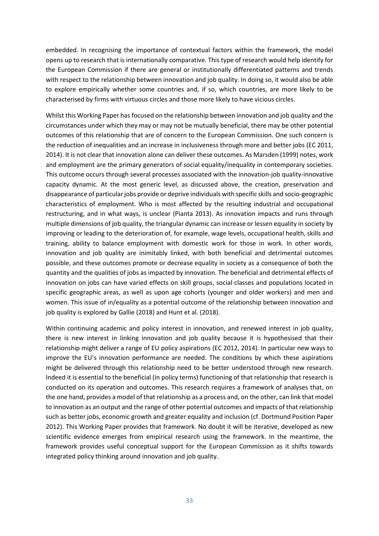embedded. In recognising the importance of contextual factors within the framework, the model opens up to research that is internationally comparative. This type of research would help identify for the European Commission if there are general or institutionally differentiated patterns and trends with respect to the relationship between innovation and job quality. In doing so, it would also be able to explore empirically whether some countries and, if so, which countries, are more likely to be characterised by firms with virtuous circles and those more likely to have vicious circles.

Whilst this Working Paper has focused on the relationship between innovation and job quality and the circumstances under which they may or may not be mutually beneficial, there may be other potential outcomes of this relationship that are of concern to the European Commission. One such concern is the reduction of inequalities and an increase in inclusiveness through more and better jobs (EC 2011, 2014). It is not clear that innovation alone can deliver these outcomes. As Marsden (1999) notes, work and employment are the primary generators of social equality/inequality in contemporary societies. This outcome occurs through several processes associated with the innovation-job quality-innovative capacity dynamic. At the most generic level, as discussed above, the creation, preservation and disappearance of particular jobs provide or deprive individuals with specific skills and socio-geographic characteristics of employment. Who is most affected by the resulting industrial and occupational restructuring, and in what ways, is unclear (Pianta 2013). As innovation impacts and runs through multiple dimensions of job quality, the triangular dynamic can increase or lessen equality in society by improving or leading to the deterioration of, for example, wage levels, occupational health, skills and training, ability to balance employment with domestic work for those in work. In other words, innovation and job quality are inimitably linked, with both beneficial and detrimental outcomes possible, and these outcomes promote or decrease equality in society as a consequence of both the quantity and the qualities of jobs as impacted by innovation. The beneficial and detrimental effects of innovation on jobs can have varied effects on skill groups, social classes and populations located in specific geographic areas, as well as upon age cohorts (younger and older workers) and men and women. This issue of in/equality as a potential outcome of the relationship between innovation and job quality is explored by Gallie (2018) and Hunt et al. (2018).

Within continuing academic and policy interest in innovation, and renewed interest in job quality, there is new interest in linking innovation and job quality because it is hypothesised that their relationship might deliver a range of EU policy aspirations (EC 2012, 2014). In particular new ways to improve the EU's innovation performance are needed. The conditions by which these aspirations might be delivered through this relationship need to be better understood through new research. Indeed it is essential to the beneficial (in policy terms) functioning of that relationship that research is conducted on its operation and outcomes. This research requires a framework of analyses that, on the one hand, provides a model of that relationship as a process and, on the other, can link that model to innovation as an output and the range of other potential outcomes and impacts of that relationship such as better jobs, economic growth and greater equality and inclusion (cf. Dortmund Position Paper 2012). This Working Paper provides that framework. No doubt it will be iterative, developed as new scientific evidence emerges from empirical research using the framework. In the meantime, the framework provides useful conceptual support for the European Commission as it shifts towards integrated policy thinking around innovation and job quality.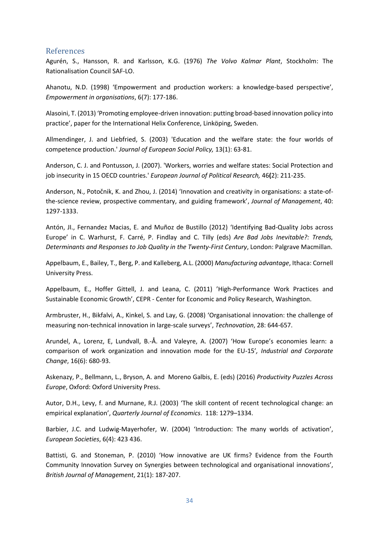## <span id="page-33-0"></span>References

Agurén, S., Hansson, R. and Karlsson, K.G. (1976) *The Volvo Kalmar Plant*, Stockholm: The Rationalisation Council SAF-LO.

Ahanotu, N.D. (1998) 'Empowerment and production workers: a knowledge-based perspective', *Empowerment in organisations*, 6(7): 177-186.

Alasoini, T. (2013) 'Promoting employee-driven innovation: putting broad-based innovation policy into practice', paper for the International Helix Conference, Linköping, Sweden.

Allmendinger, J. and Liebfried, S. (2003) 'Education and the welfare state: the four worlds of competence production.' *Journal of European Social Policy,* 13(1): 63-81.

Anderson, C. J. and Pontusson, J. (2007). 'Workers, worries and welfare states: Social Protection and job insecurity in 15 OECD countries.' *European Journal of Political Research,* 46**(**2): 211-235.

Anderson, N., Potočnik, K. and Zhou, J. (2014) 'Innovation and creativity in organisations: a state-ofthe-science review, prospective commentary, and guiding framework', *Journal of Management*, 40: 1297-1333.

Antón, JI., Fernandez Macias, E. and Muñoz de Bustillo (2012) 'Identifying Bad-Quality Jobs across Europe' in C. Warhurst, F. Carré, P. Findlay and C. Tilly (eds) *Are Bad Jobs Inevitable?: Trends, Determinants and Responses to Job Quality in the Twenty-First Century*, London: Palgrave Macmillan.

Appelbaum, E., Bailey, T., Berg, P. and Kalleberg, A.L. (2000) *Manufacturing advantage*, Ithaca: Cornell University Press.

Appelbaum, E., Hoffer Gittell, J. and Leana, C. (2011) 'High-Performance Work Practices and Sustainable Economic Growth', CEPR - Center for Economic and Policy Research, Washington.

Armbruster, H., Bikfalvi, A., Kinkel, S. and Lay, G. (2008) 'Organisational innovation: the challenge of measuring non-technical innovation in large-scale surveys', *Technovation*, 28: 644-657.

Arundel, A., Lorenz, E, Lundvall, B.-Å. and Valeyre, A. (2007) 'How Europe's economies learn: a comparison of work organization and innovation mode for the EU-15'*, Industrial and Corporate Change*, 16(6): 680-93.

Askenazy, P., Bellmann, L., Bryson, A. and Moreno Galbis, E. (eds) (2016) *Productivity Puzzles Across Europe*, Oxford: Oxford University Press.

Autor, D.H., Levy, f. and Murnane, R.J. (2003) 'The skill content of recent technological change: an empirical explanation', *Quarterly Journal of Economics*. 118: 1279–1334.

Barbier, J.C. and Ludwig-Mayerhofer, W. (2004) 'Introduction: The many worlds of activation', *European Societies*, 6(4): 423 436.

Battisti, G. and Stoneman, P. (2010) 'How innovative are UK firms? Evidence from the Fourth Community Innovation Survey on Synergies between technological and organisational innovations', *British Journal of Management*, 21(1): 187-207.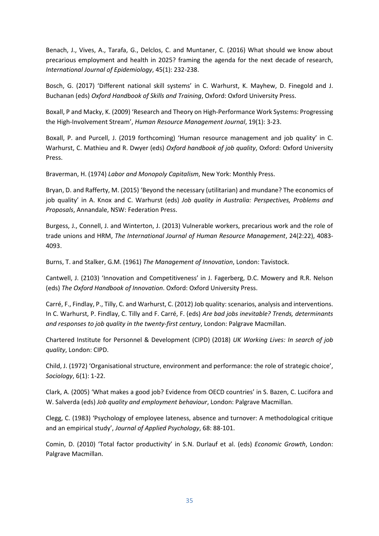Benach, J., Vives, A., Tarafa, G., Delclos, C. and Muntaner, C. (2016) What should we know about precarious employment and health in 2025? framing the agenda for the next decade of research, *International Journal of Epidemiology*, 45(1): 232-238.

Bosch, G. (2017) 'Different national skill systems' in C. Warhurst, K. Mayhew, D. Finegold and J. Buchanan (eds) *Oxford Handbook of Skills and Training*, Oxford: Oxford University Press.

Boxall, P and Macky, K. (2009) 'Research and Theory on High-Performance Work Systems: Progressing the High-Involvement Stream', *Human Resource Management Journal*, 19(1): 3-23.

Boxall, P. and Purcell, J. (2019 forthcoming) 'Human resource management and job quality' in C. Warhurst, C. Mathieu and R. Dwyer (eds) *Oxford handbook of job quality*, Oxford: Oxford University Press.

Braverman, H. (1974) *Labor and Monopoly Capitalism*, New York: Monthly Press.

Bryan, D. and Rafferty, M. (2015) 'Beyond the necessary (utilitarian) and mundane? The economics of job quality' in A. Knox and C. Warhurst (eds) *Job quality in Australia: Perspectives, Problems and Proposals*, Annandale, NSW: Federation Press.

Burgess, J., Connell, J. and Winterton, J. (2013) Vulnerable workers, precarious work and the role of trade unions and HRM, *The International Journal of Human Resource Management*, 24(2:22), 4083- 4093.

Burns, T. and Stalker, G.M. (1961) *The Management of Innovation*, London: Tavistock.

Cantwell, J. (2103) 'Innovation and Competitiveness' in J. Fagerberg, D.C. Mowery and R.R. Nelson (eds) *The Oxford Handbook of Innovation*. Oxford: Oxford University Press.

Carré, F., Findlay, P., Tilly, C. and Warhurst, C. (2012) Job quality: scenarios, analysis and interventions. In C. Warhurst, P. Findlay, C. Tilly and F. Carré, F. (eds) *Are bad jobs inevitable? Trends, determinants and responses to job quality in the twenty-first century*, London: Palgrave Macmillan.

Chartered Institute for Personnel & Development (CIPD) (2018) *UK Working Lives: In search of job quality*, London: CIPD.

Child, J. (1972) 'Organisational structure, environment and performance: the role of strategic choice', *Sociology*, 6(1): 1-22.

Clark, A. (2005) 'What makes a good job? Evidence from OECD countries' in S. Bazen, C. Lucifora and W. Salverda (eds) *Job quality and employment behaviour*, London: Palgrave Macmillan.

Clegg, C. (1983) 'Psychology of employee lateness, absence and turnover: A methodological critique and an empirical study', *Journal of Applied Psychology*, 68: 88-101.

Comin, D. (2010) 'Total factor productivity' in S.N. Durlauf et al. (eds) *Economic Growth*, London: Palgrave Macmillan.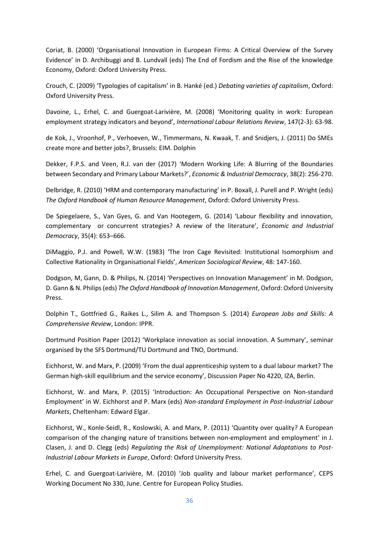Coriat, B. (2000) 'Organisational Innovation in European Firms: A Critical Overview of the Survey Evidence' in D. Archibuggi and B. Lundvall (eds) The End of Fordism and the Rise of the knowledge Economy, Oxford: Oxford University Press.

Crouch, C. (2009) 'Typologies of capitalism' in B. Hanké (ed.) *Debating varieties of capitalism*, Oxford: Oxford University Press.

Davoine, L., Erhel, C. and Guergoat-Larivière, M. (2008) 'Monitoring quality in work: European employment strategy indicators and beyond', *International Labour Relations Review*, 147(2-3): 63-98.

de Kok, J., Vroonhof, P., Verhoeven, W., Timmermans, N. Kwaak, T. and Snidjers, J. (2011) Do SMEs create more and better jobs?, Brussels: EIM. Dolphin

Dekker, F.P.S. and Veen, R.J. van der (2017) 'Modern Working Life: A Blurring of the Boundaries between Secondary and Primary Labour Markets?', *Economic & Industrial Democracy*, 38(2): 256-270.

Delbridge, R. (2010) 'HRM and contemporary manufacturing' in P. Boxall, J. Purell and P. Wright (eds) *The Oxford Handbook of Human Resource Management*, Oxford: Oxford University Press.

De Spiegelaere, S., Van Gyes, G. and Van Hootegem, G. (2014) 'Labour flexibility and innovation, complementary or concurrent strategies? A review of the literature', *Economic and Industrial Democracy*, 35(4): 653–666.

DiMaggio, P.J. and Powell, W.W. (1983) 'The Iron Cage Revisited: Institutional Isomorphism and Collective Rationality in Organisational Fields', *American Sociological Review*, 48: 147-160.

Dodgson, M, Gann, D. & Philips, N. (2014) 'Perspectives on Innovation Management' in M. Dodgson, D. Gann & N. Philips (eds) *The Oxford Handbook of Innovation Management*, Oxford: Oxford University Press.

Dolphin T., Gottfried G., Raikes L., Silim A. and Thompson S. (2014) *European Jobs and Skills: A Comprehensive Review*, London: IPPR.

Dortmund Position Paper (2012) 'Workplace innovation as social innovation. A Summary', seminar organised by the SFS Dortmund/TU Dortmund and TNO, Dortmund.

Eichhorst, W. and Marx, P. (2009) 'From the dual apprenticeship system to a dual labour market? The German high-skill equilibrium and the service economy', Discussion Paper No 4220, IZA, Berlin.

Eichhorst, W. and Marx, P. (2015) 'Introduction: An Occupational Perspective on Non-standard Employment' in W. Eichhorst and P. Marx (eds) *Non-standard Employment in Post-Industrial Labour Markets*, Cheltenham: Edward Elgar.

Eichhorst, W., Konle-Seidl, R., Koslowski, A. and Marx, P. (2011) 'Quantity over quality? A European comparison of the changing nature of transitions between non-employment and employment' in J. Clasen, J. and D. Clegg (eds) *Regulating the Risk of Unemployment: National Adaptations to Post-Industrial Labour Markets in Europe*, Oxford: Oxford University Press.

Erhel, C. and Guergoat-Larivière, M. (2010) 'Job quality and labour market performance', CEPS Working Document No 330, June. Centre for European Policy Studies.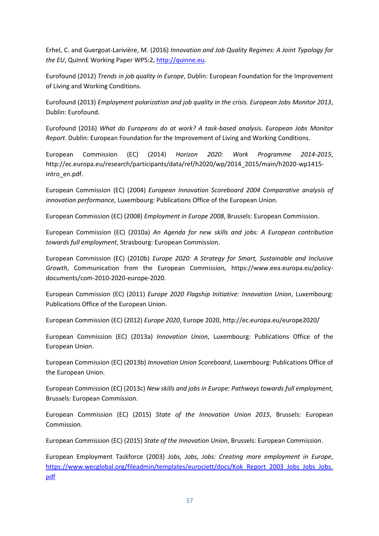Erhel, C. and Guergoat-Larivière, M. (2016) *Innovation and Job Quality Regimes: A Joint Typology for the EU*, QuInnE Working Paper WP5:2, [http://quinne.eu.](http://quinne.eu/)

Eurofound (2012) *Trends in job quality in Europe*, Dublin: European Foundation for the Improvement of Living and Working Conditions.

Eurofound (2013) *Employment polarization and job quality in the crisis. European Jobs Monitor 2013*, Dublin: Eurofound.

Eurofound (2016) *What do Europeans do at work? A task-based analysis. European Jobs Monitor Report*. Dublin: European Foundation for the Improvement of Living and Working Conditions.

European Commission (EC) (2014) *Horizon 2020: Work Programme 2014-2015*, http://ec.europa.eu/research/participants/data/ref/h2020/wp/2014\_2015/main/h2020-wp1415 intro\_en.pdf.

European Commission (EC) (2004) *European Innovation Scoreboard 2004 Comparative analysis of innovation performance*, Luxembourg: Publications Office of the European Union.

European Commission (EC) (2008) *Employment in Europe 2008*, Brussels: European Commission.

European Commission (EC) (2010a) *An Agenda for new skills and jobs: A European contribution towards full employment*, Strasbourg: European Commission.

European Commission (EC) (2010b) *Europe 2020: A Strategy for Smart, Sustainable and Inclusive Growth*, Communication from the European Commission, https://www.eea.europa.eu/policydocuments/com-2010-2020-europe-2020.

European Commission (EC) (2011) *Europe 2020 Flagship Initiative: Innovation Union*, Luxembourg: Publications Office of the European Union.

European Commission (EC) (2012) *Europe 2020*, Europe 2020, http://ec.europa.eu/europe2020/

European Commission (EC) (2013a) *Innovation Union*, Luxembourg: Publications Office of the European Union.

European Commission (EC) (2013b) *Innovation Union Scoreboard*, Luxembourg: Publications Office of the European Union.

European Commission (EC) (2013c) *New skills and jobs in Europe: Pathways towards full employment*, Brussels: European Commission.

European Commission (EC) (2015) *State of the Innovation Union 2015*, Brussels: European Commission.

European Commission (EC) (2015) *State of the Innovation Union*, Brussels: European Commission.

European Employment Taskforce (2003) *Jobs, Jobs, Jobs: Creating more employment in Europe*, [https://www.wecglobal.org/fileadmin/templates/eurociett/docs/Kok\\_Report\\_2003\\_Jobs\\_Jobs\\_Jobs.](https://www.wecglobal.org/fileadmin/templates/eurociett/docs/Kok_Report_2003_Jobs_Jobs_Jobs.pdf) [pdf](https://www.wecglobal.org/fileadmin/templates/eurociett/docs/Kok_Report_2003_Jobs_Jobs_Jobs.pdf)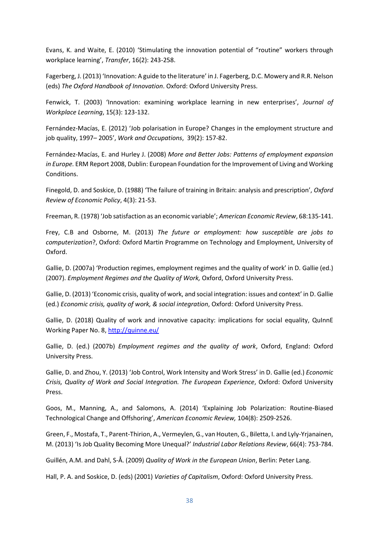Evans, K. and Waite, E. (2010) 'Stimulating the innovation potential of "routine" workers through workplace learning', *Transfer*, 16(2): 243-258.

Fagerberg, J. (2013) 'Innovation: A guide to the literature' in J. Fagerberg, D.C. Mowery and R.R. Nelson (eds) *The Oxford Handbook of Innovation*. Oxford: Oxford University Press.

Fenwick, T. (2003) 'Innovation: examining workplace learning in new enterprises', *Journal of Workplace Learning*, 15(3): 123-132.

Fernández-Macías, E. (2012) 'Job polarisation in Europe? Changes in the employment structure and job quality, 1997– 2005', *Work and Occupations*, 39(2): 157-82.

Fernández-Macías, E. and Hurley J. (2008) *More and Better Jobs: Patterns of employment expansion in Europe.* ERM Report 2008, Dublin: European Foundation for the Improvement of Living and Working Conditions.

Finegold, D. and Soskice, D. (1988) 'The failure of training in Britain: analysis and prescription', *Oxford Review of Economic Policy*, 4(3): 21-53.

Freeman, R. (1978) 'Job satisfaction as an economic variable'; *American Economic Review*, 68:135-141.

Frey, C.B and Osborne, M. (2013) *The future or employment: how susceptible are jobs to computerization*?, Oxford: Oxford Martin Programme on Technology and Employment, University of Oxford.

Gallie, D. (2007a) 'Production regimes, employment regimes and the quality of work' in D. Gallie (ed.) (2007). *Employment Regimes and the Quality of Work,* Oxford, Oxford University Press.

Gallie, D. (2013) 'Economic crisis, quality of work, and social integration: issues and context' in D. Gallie (ed.) *Economic crisis, quality of work, & social integration*, Oxford: Oxford University Press.

Gallie, D. (2018) Quality of work and innovative capacity: implications for social equality, QuInnE Working Paper No. 8,<http://quinne.eu/>

Gallie, D. (ed.) (2007b) *Employment regimes and the quality of work*, Oxford, England: Oxford University Press.

Gallie, D. and Zhou, Y. (2013) 'Job Control, Work Intensity and Work Stress' in D. Gallie (ed.) *Economic Crisis, Quality of Work and Social Integration. The European Experience*, Oxford: Oxford University Press.

Goos, M., Manning, A., and Salomons, A. (2014) 'Explaining Job Polarization: Routine-Biased Technological Change and Offshoring', *American Economic Review,* 104(8): 2509-2526.

Green, F., Mostafa, T., Parent-Thirion, A., Vermeylen, G., van Houten, G., Biletta, I. and Lyly-Yrjanainen, M. (2013) 'Is Job Quality Becoming More Unequal?' *Industrial Labor Relations Review*, 66(4): 753-784.

Guillén, A.M. and Dahl, S-Å. (2009) *Quality of Work in the European Union*, Berlin: Peter Lang.

Hall, P. A. and Soskice, D. (eds) (2001) *Varieties of Capitalism*, Oxford: Oxford University Press.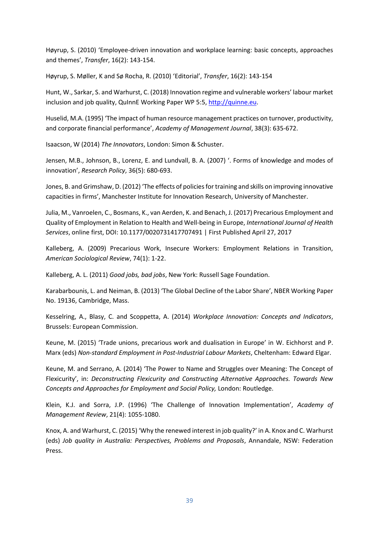Høyrup, S. (2010) 'Employee-driven innovation and workplace learning: basic concepts, approaches and themes', *Transfer*, 16(2): 143-154.

Høyrup, S. Møller, K and Sø Rocha, R. (2010) 'Editorial', *Transfer*, 16(2): 143-154

Hunt, W., Sarkar, S. and Warhurst, C. (2018) Innovation regime and vulnerable workers' labour market inclusion and job quality, QuInnE Working Paper WP 5:5[, http://quinne.eu.](http://quinne.eu/)

Huselid, M.A. (1995) 'The impact of human resource management practices on turnover, productivity, and corporate financial performance', *Academy of Management Journal*, 38(3): 635-672.

Isaacson, W (2014) *The Innovators*, London: Simon & Schuster.

Jensen, M.B., Johnson, B., Lorenz, E. and Lundvall, B. A. (2007) '. Forms of knowledge and modes of innovation', *Research Policy*, 36(5): 680-693.

Jones, B. and Grimshaw, D. (2012) 'The effects of policies for training and skills on improving innovative capacities in firms', Manchester Institute for Innovation Research, University of Manchester.

Julia, M., Vanroelen, C., Bosmans, K., van Aerden, K. and Benach, J. (2017) Precarious Employment and Quality of Employment in Relation to Health and Well-being in Europe, *International Journal of Health Services*, online first, DOI: 10.1177/0020731417707491 | First Published April 27, 2017

Kalleberg, A. (2009) Precarious Work, Insecure Workers: Employment Relations in Transition, *American Sociological Review*, 74(1): 1-22.

Kalleberg, A. L. (2011) *Good jobs, bad jobs*, New York: Russell Sage Foundation.

Karabarbounis, L. and Neiman, B. (2013) 'The Global Decline of the Labor Share', NBER Working Paper No. 19136, Cambridge, Mass.

Kesselring, A., Blasy, C. and Scoppetta, A. (2014) *Workplace Innovation: Concepts and Indicators*, Brussels: European Commission.

Keune, M. (2015) 'Trade unions, precarious work and dualisation in Europe' in W. Eichhorst and P. Marx (eds) *Non-standard Employment in Post-Industrial Labour Markets*, Cheltenham: Edward Elgar.

Keune, M. and Serrano, A. (2014) 'The Power to Name and Struggles over Meaning: The Concept of Flexicurity', in: *Deconstructing Flexicurity and Constructing Alternative Approaches. Towards New Concepts and Approaches for Employment and Social Policy,* London: Routledge.

Klein, K.J. and Sorra, J.P. (1996) 'The Challenge of Innovation Implementation', *Academy of Management Review*, 21(4): 1055-1080.

Knox, A. and Warhurst, C. (2015) 'Why the renewed interest in job quality?' in A. Knox and C. Warhurst (eds) *Job quality in Australia: Perspectives, Problems and Proposals*, Annandale, NSW: Federation Press.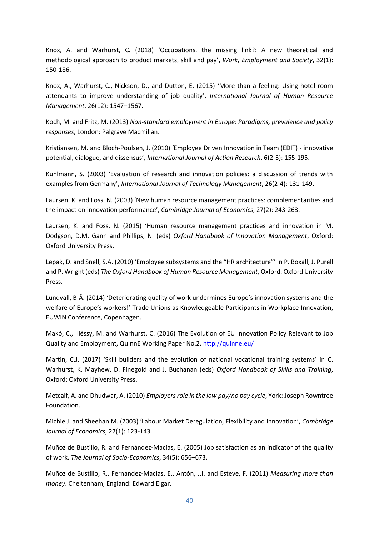Knox, A. and Warhurst, C. (2018) 'Occupations, the missing link?: A new theoretical and methodological approach to product markets, skill and pay', *Work, Employment and Society*, 32(1): 150-186.

Knox, A., Warhurst, C., Nickson, D., and Dutton, E. (2015) 'More than a feeling: Using hotel room attendants to improve understanding of job quality', *International Journal of Human Resource Management*, 26(12): 1547–1567.

Koch, M. and Fritz, M. (2013) *Non-standard employment in Europe: Paradigms, prevalence and policy responses*, London: Palgrave Macmillan.

Kristiansen, M. and Bloch-Poulsen, J. (2010) 'Employee Driven Innovation in Team (EDIT) - innovative potential, dialogue, and dissensus', *International Journal of Action Research*, 6(2-3): 155-195.

Kuhlmann, S. (2003) 'Evaluation of research and innovation policies: a discussion of trends with examples from Germany', *International Journal of Technology Management*, 26(2-4): 131-149.

Laursen, K. and Foss, N. (2003) 'New human resource management practices: complementarities and the impact on innovation performance', *Cambridge Journal of Economics*, 27(2): 243-263.

Laursen, K. and Foss, N. (2015) 'Human resource management practices and innovation in M. Dodgson, D.M. Gann and Phillips, N. (eds) *Oxford Handbook of Innovation Management*, Oxford: Oxford University Press.

Lepak, D. and Snell, S.A. (2010) 'Employee subsystems and the "HR architecture"' in P. Boxall, J. Purell and P. Wright (eds) *The Oxford Handbook of Human Resource Management*, Oxford: Oxford University Press.

Lundvall, B-Å. (2014) 'Deteriorating quality of work undermines Europe's innovation systems and the welfare of Europe's workers!' Trade Unions as Knowledgeable Participants in Workplace Innovation, EUWIN Conference, Copenhagen.

Makó, C., Illéssy, M. and Warhurst, C. (2016) The Evolution of EU Innovation Policy Relevant to Job Quality and Employment, QuInnE Working Paper No.2,<http://quinne.eu/>

Martin, C.J. (2017) 'Skill builders and the evolution of national vocational training systems' in C. Warhurst, K. Mayhew, D. Finegold and J. Buchanan (eds) *Oxford Handbook of Skills and Training*, Oxford: Oxford University Press.

Metcalf, A. and Dhudwar, A. (2010) *Employers role in the low pay/no pay cycle*, York: Joseph Rowntree Foundation.

Michie J. and Sheehan M. (2003) 'Labour Market Deregulation, Flexibility and Innovation', *Cambridge Journal of Economics*, 27(1): 123-143.

Muñoz de Bustillo, R. and Fernández-Macías, E. (2005) Job satisfaction as an indicator of the quality of work. *The Journal of Socio-Economics*, 34(5): 656–673.

Muñoz de Bustillo, R., Fernández-Macías, E., Antón, J.I. and Esteve, F. (2011) *Measuring more than money*. Cheltenham, England: Edward Elgar.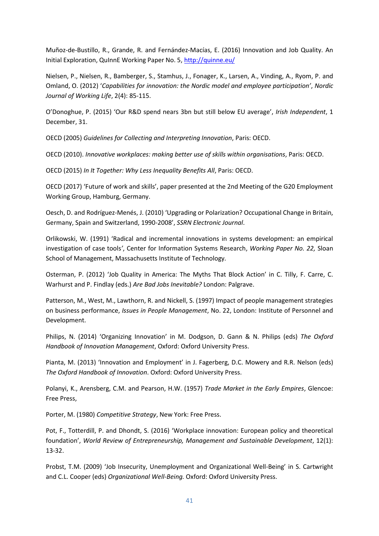Muñoz-de-Bustillo, R., Grande, R. and Fernández-Macías, E. (2016) Innovation and Job Quality. An Initial Exploration, QuInnE Working Paper No. 5, <http://quinne.eu/>

Nielsen, P., Nielsen, R., Bamberger, S., Stamhus, J., Fonager, K., Larsen, A., Vinding, A., Ryom, P. and Omland, O. (2012) '*Capabilities for innovation: the Nordic model and employee participation'*, *Nordic Journal of Working Life*, 2(4): 85-115.

O'Donoghue, P. (2015) 'Our R&D spend nears 3bn but still below EU average', *Irish Independent*, 1 December, 31.

OECD (2005) *Guidelines for Collecting and Interpreting Innovation*, Paris: OECD.

OECD (2010). *Innovative workplaces: making better use of skills within organisations*, Paris: OECD.

OECD (2015) *In It Together: Why Less Inequality Benefits All*, Paris: OECD.

OECD (2017) 'Future of work and skills', paper presented at the 2nd Meeting of the G20 Employment Working Group, Hamburg, Germany.

Oesch, D. and Rodríguez-Menés, J. (2010) 'Upgrading or Polarization? Occupational Change in Britain, Germany, Spain and Switzerland, 1990-2008', *SSRN Electronic Journal*.

Orlikowski, W. (1991) 'Radical and incremental innovations in systems development: an empirical investigation of case tools*'*, Center for Information Systems Research, *Working Paper No. 22,* Sloan School of Management, Massachusetts Institute of Technology*.*

Osterman, P. (2012) 'Job Quality in America: The Myths That Block Action' in C. Tilly, F. Carre, C. Warhurst and P. Findlay (eds.) *Are Bad Jobs Inevitable?* London: Palgrave.

Patterson, M., West, M., Lawthorn, R. and Nickell, S. (1997) Impact of people management strategies on business performance, *Issues in People Management*, No. 22, London: Institute of Personnel and Development.

Philips, N. (2014) 'Organizing Innovation' in M. Dodgson, D. Gann & N. Philips (eds) *The Oxford Handbook of Innovation Management*, Oxford: Oxford University Press.

Pianta, M. (2013) 'Innovation and Employment' in J. Fagerberg, D.C. Mowery and R.R. Nelson (eds) *The Oxford Handbook of Innovation*. Oxford: Oxford University Press.

Polanyi, K., Arensberg, C.M. and Pearson, H.W. (1957) *Trade Market in the Early Empires*, Glencoe: Free Press,

Porter, M. (1980) *Competitive Strategy*, New York: Free Press.

Pot, F., Totterdill, P. and Dhondt, S. (2016) 'Workplace innovation: European policy and theoretical foundation', *World Review of Entrepreneurship, Management and Sustainable Development*, 12(1): 13-32.

Probst, T.M. (2009) 'Job Insecurity, Unemployment and Organizational Well-Being' in S. Cartwright and C.L. Cooper (eds) *Organizational Well-Being.* Oxford: Oxford University Press.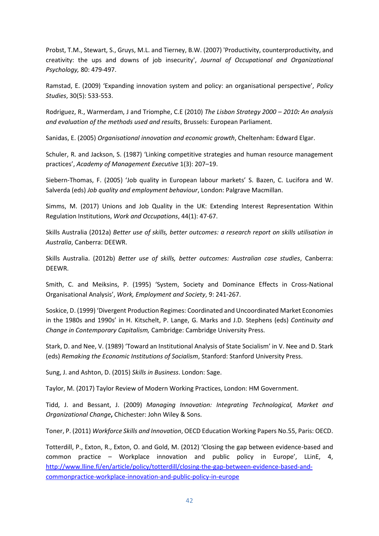Probst, T.M., Stewart, S., Gruys, M.L. and Tierney, B.W. (2007) 'Productivity, counterproductivity, and creativity: the ups and downs of job insecurity', *Journal of Occupational and Organizational Psychology,* 80: 479-497.

Ramstad, E. (2009) 'Expanding innovation system and policy: an organisational perspective', *Policy Studies*, 30(5): 533-553.

Rodriguez, R., Warmerdam, J and Triomphe, C.E (2010) *The Lisbon Strategy 2000 – 2010: An analysis and evaluation of the methods used and results*, Brussels: European Parliament.

Sanidas, E. (2005) *Organisational innovation and economic growth*, Cheltenham: Edward Elgar.

Schuler, R. and Jackson, S. (1987) 'Linking competitive strategies and human resource management practices', *Academy of Management Executive* 1(3): 207–19.

Siebern-Thomas, F. (2005) 'Job quality in European labour markets' S. Bazen, C. Lucifora and W. Salverda (eds) *Job quality and employment behaviour*, London: Palgrave Macmillan.

Simms, M. (2017) Unions and Job Quality in the UK: Extending Interest Representation Within Regulation Institutions, *Work and Occupations*, 44(1): 47-67.

Skills Australia (2012a) *Better use of skills, better outcomes: a research report on skills utilisation in Australia*, Canberra: DEEWR.

Skills Australia. (2012b) *Better use of skills, better outcomes: Australian case studies*, Canberra: DEEWR.

Smith, C. and Meiksins, P. (1995) 'System, Society and Dominance Effects in Cross-National Organisational Analysis', *Work, Employment and Society*, 9: 241-267.

Soskice, D. (1999) 'Divergent Production Regimes: Coordinated and Uncoordinated Market Economies in the 1980s and 1990s' in H. Kitschelt, P. Lange, G. Marks and J.D. Stephens (eds) *Continuity and Change in Contemporary Capitalism,* Cambridge: Cambridge University Press.

Stark, D. and Nee, V. (1989) 'Toward an Institutional Analysis of State Socialism' in V. Nee and D. Stark (eds) *Remaking the Economic Institutions of Socialism*, Stanford: Stanford University Press.

Sung, J. and Ashton, D. (2015) *Skills in Business*. London: Sage.

Taylor, M. (2017) Taylor Review of Modern Working Practices, London: HM Government.

Tidd, J. and Bessant, J. (2009) *Managing Innovation: Integrating Technological, Market and Organizational Change***,** Chichester: John Wiley & Sons.

Toner, P. (2011) *Workforce Skills and Innovation*, OECD Education Working Papers No.55, Paris: OECD.

Totterdill, P., Exton, R., Exton, O. and Gold, M. (2012) 'Closing the gap between evidence-based and common practice – Workplace innovation and public policy in Europe', LLinE, 4, [http://www.lline.fi/en/article/policy/totterdill/closing-the-gap-between-evidence-based-and](http://www.lline.fi/en/article/policy/totterdill/closing-the-gap-between-evidence-based-and-commonpractice-workplace-innovation-and-public-policy-in-europe)[commonpractice-workplace-innovation-and-public-policy-in-europe](http://www.lline.fi/en/article/policy/totterdill/closing-the-gap-between-evidence-based-and-commonpractice-workplace-innovation-and-public-policy-in-europe)